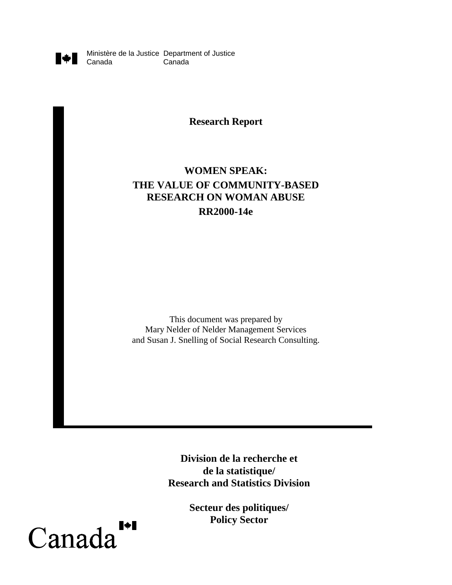

Ministère de la Justice Department of Justice Canada

**Research Report**

# **WOMEN SPEAK: THE VALUE OF COMMUNITY-BASED RESEARCH ON WOMAN ABUSE RR2000-14e**

This document was prepared by Mary Nelder of Nelder Management Services and Susan J. Snelling of Social Research Consulting.

> **Division de la recherche et de la statistique/ Research and Statistics Division**

> > **Secteur des politiques/ Policy Sector**

 $\blacktriangleright$ Canada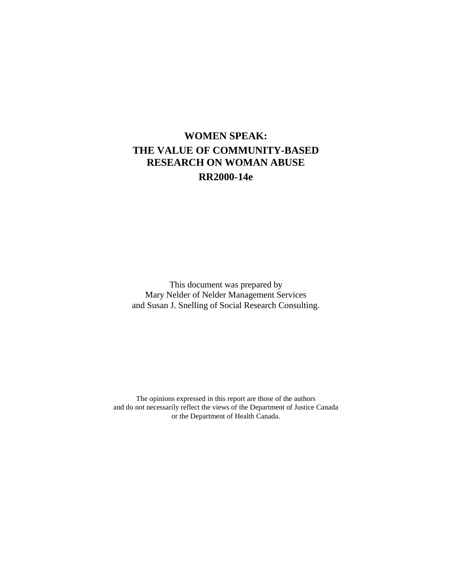# **WOMEN SPEAK: THE VALUE OF COMMUNITY-BASED RESEARCH ON WOMAN ABUSE RR2000-14e**

This document was prepared by Mary Nelder of Nelder Management Services and Susan J. Snelling of Social Research Consulting.

The opinions expressed in this report are those of the authors and do not necessarily reflect the views of the Department of Justice Canada or the Department of Health Canada.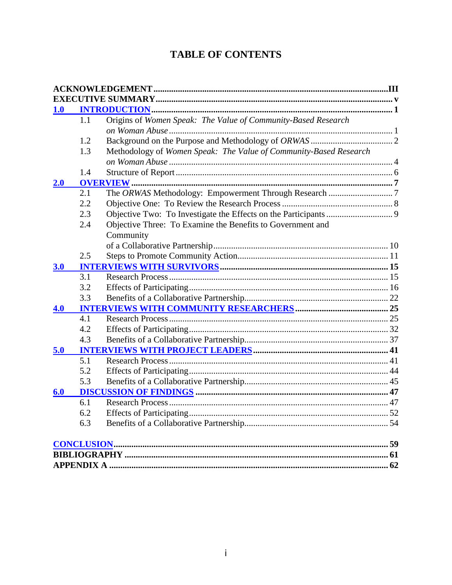# **TABLE OF CONTENTS**

| <b>1.0</b> |     |                                                                   |  |
|------------|-----|-------------------------------------------------------------------|--|
|            | 1.1 | Origins of Women Speak: The Value of Community-Based Research     |  |
|            |     |                                                                   |  |
|            | 1.2 |                                                                   |  |
|            | 1.3 | Methodology of Women Speak: The Value of Community-Based Research |  |
|            |     |                                                                   |  |
|            | 1.4 |                                                                   |  |
| 2.0        |     | <b>OVERVIEW</b>                                                   |  |
|            | 2.1 |                                                                   |  |
|            | 2.2 |                                                                   |  |
|            | 2.3 |                                                                   |  |
|            | 2.4 | Objective Three: To Examine the Benefits to Government and        |  |
|            |     | Community                                                         |  |
|            |     |                                                                   |  |
|            | 2.5 |                                                                   |  |
| 3.0        |     |                                                                   |  |
|            | 3.1 |                                                                   |  |
|            | 3.2 |                                                                   |  |
|            | 3.3 |                                                                   |  |
| 4.0        |     |                                                                   |  |
|            | 4.1 |                                                                   |  |
|            | 4.2 |                                                                   |  |
|            | 4.3 |                                                                   |  |
| 5.0        |     |                                                                   |  |
|            | 5.1 |                                                                   |  |
|            | 5.2 |                                                                   |  |
|            | 5.3 |                                                                   |  |
| 6.0        |     |                                                                   |  |
|            | 6.1 |                                                                   |  |
|            | 6.2 |                                                                   |  |
|            | 6.3 |                                                                   |  |
|            |     |                                                                   |  |
|            |     |                                                                   |  |
|            |     |                                                                   |  |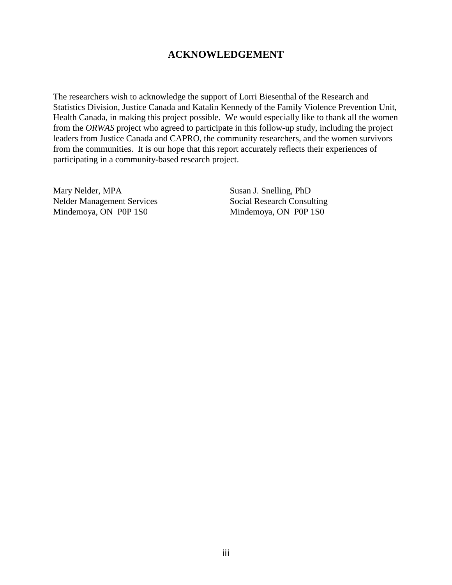## **ACKNOWLEDGEMENT**

The researchers wish to acknowledge the support of Lorri Biesenthal of the Research and Statistics Division, Justice Canada and Katalin Kennedy of the Family Violence Prevention Unit, Health Canada, in making this project possible. We would especially like to thank all the women from the *ORWAS* project who agreed to participate in this follow-up study, including the project leaders from Justice Canada and CAPRO, the community researchers, and the women survivors from the communities. It is our hope that this report accurately reflects their experiences of participating in a community-based research project.

Mary Nelder, MPA Nelder Management Services Mindemoya, ON P0P 1S0

Susan J. Snelling, PhD Social Research Consulting Mindemoya, ON P0P 1S0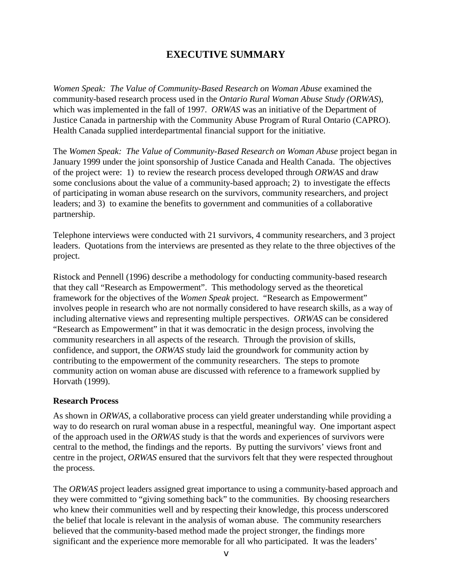## **EXECUTIVE SUMMARY**

<span id="page-4-0"></span>*Women Speak: The Value of Community-Based Research on Woman Abuse* examined the community-based research process used in the *Ontario Rural Woman Abuse Study (ORWAS*), which was implemented in the fall of 1997. *ORWAS* was an initiative of the Department of Justice Canada in partnership with the Community Abuse Program of Rural Ontario (CAPRO). Health Canada supplied interdepartmental financial support for the initiative.

The *Women Speak: The Value of Community-Based Research on Woman Abuse* project began in January 1999 under the joint sponsorship of Justice Canada and Health Canada. The objectives of the project were: 1) to review the research process developed through *ORWAS* and draw some conclusions about the value of a community-based approach; 2) to investigate the effects of participating in woman abuse research on the survivors, community researchers, and project leaders; and 3) to examine the benefits to government and communities of a collaborative partnership.

Telephone interviews were conducted with 21 survivors, 4 community researchers, and 3 project leaders. Quotations from the interviews are presented as they relate to the three objectives of the project.

Ristock and Pennell (1996) describe a methodology for conducting community-based research that they call "Research as Empowerment". This methodology served as the theoretical framework for the objectives of the *Women Speak* project. "Research as Empowerment" involves people in research who are not normally considered to have research skills, as a way of including alternative views and representing multiple perspectives. *ORWAS* can be considered "Research as Empowerment" in that it was democratic in the design process, involving the community researchers in all aspects of the research. Through the provision of skills, confidence, and support, the *ORWAS* study laid the groundwork for community action by contributing to the empowerment of the community researchers. The steps to promote community action on woman abuse are discussed with reference to a framework supplied by Horvath (1999).

### **Research Process**

As shown in *ORWAS*, a collaborative process can yield greater understanding while providing a way to do research on rural woman abuse in a respectful, meaningful way. One important aspect of the approach used in the *ORWAS* study is that the words and experiences of survivors were central to the method, the findings and the reports. By putting the survivors' views front and centre in the project, *ORWAS* ensured that the survivors felt that they were respected throughout the process.

The *ORWAS* project leaders assigned great importance to using a community-based approach and they were committed to "giving something back" to the communities. By choosing researchers who knew their communities well and by respecting their knowledge, this process underscored the belief that locale is relevant in the analysis of woman abuse. The community researchers believed that the community-based method made the project stronger, the findings more significant and the experience more memorable for all who participated. It was the leaders'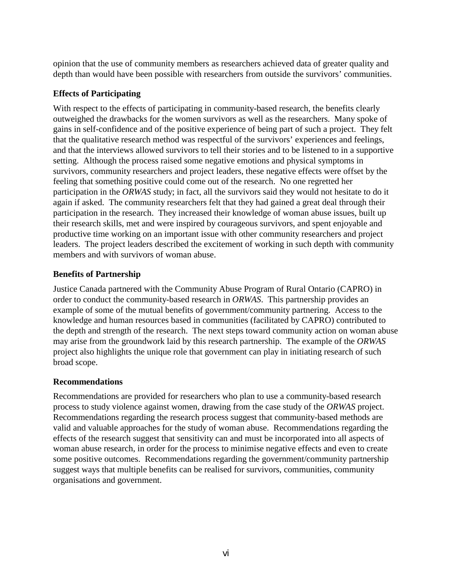opinion that the use of community members as researchers achieved data of greater quality and depth than would have been possible with researchers from outside the survivors' communities.

## **Effects of Participating**

With respect to the effects of participating in community-based research, the benefits clearly outweighed the drawbacks for the women survivors as well as the researchers. Many spoke of gains in self-confidence and of the positive experience of being part of such a project. They felt that the qualitative research method was respectful of the survivors' experiences and feelings, and that the interviews allowed survivors to tell their stories and to be listened to in a supportive setting. Although the process raised some negative emotions and physical symptoms in survivors, community researchers and project leaders, these negative effects were offset by the feeling that something positive could come out of the research. No one regretted her participation in the *ORWAS* study; in fact, all the survivors said they would not hesitate to do it again if asked. The community researchers felt that they had gained a great deal through their participation in the research. They increased their knowledge of woman abuse issues, built up their research skills, met and were inspired by courageous survivors, and spent enjoyable and productive time working on an important issue with other community researchers and project leaders. The project leaders described the excitement of working in such depth with community members and with survivors of woman abuse.

## **Benefits of Partnership**

Justice Canada partnered with the Community Abuse Program of Rural Ontario (CAPRO) in order to conduct the community-based research in *ORWAS*. This partnership provides an example of some of the mutual benefits of government/community partnering. Access to the knowledge and human resources based in communities (facilitated by CAPRO) contributed to the depth and strength of the research. The next steps toward community action on woman abuse may arise from the groundwork laid by this research partnership. The example of the *ORWAS* project also highlights the unique role that government can play in initiating research of such broad scope.

## **Recommendations**

Recommendations are provided for researchers who plan to use a community-based research process to study violence against women, drawing from the case study of the *ORWAS* project. Recommendations regarding the research process suggest that community-based methods are valid and valuable approaches for the study of woman abuse. Recommendations regarding the effects of the research suggest that sensitivity can and must be incorporated into all aspects of woman abuse research, in order for the process to minimise negative effects and even to create some positive outcomes. Recommendations regarding the government/community partnership suggest ways that multiple benefits can be realised for survivors, communities, community organisations and government.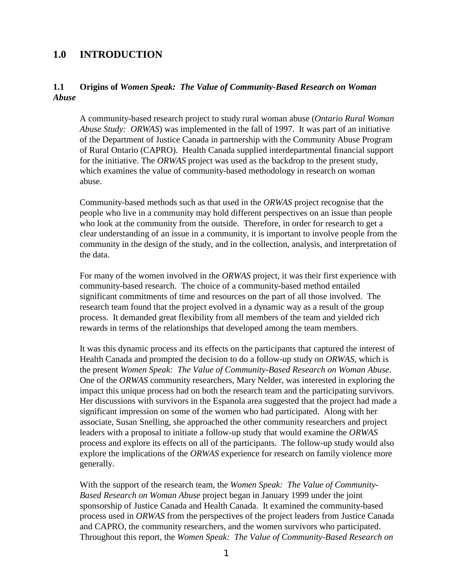## <span id="page-6-0"></span>**1.0 INTRODUCTION**

## **1.1 Origins of** *Women Speak: The Value of Community-Based Research on Woman Abuse*

A community-based research project to study rural woman abuse (*Ontario Rural Woman Abuse Study: ORWAS*) was implemented in the fall of 1997. It was part of an initiative of the Department of Justice Canada in partnership with the Community Abuse Program of Rural Ontario (CAPRO). Health Canada supplied interdepartmental financial support for the initiative. The *ORWAS* project was used as the backdrop to the present study, which examines the value of community-based methodology in research on woman abuse.

Community-based methods such as that used in the *ORWAS* project recognise that the people who live in a community may hold different perspectives on an issue than people who look at the community from the outside. Therefore, in order for research to get a clear understanding of an issue in a community, it is important to involve people from the community in the design of the study, and in the collection, analysis, and interpretation of the data.

For many of the women involved in the *ORWAS* project, it was their first experience with community-based research. The choice of a community-based method entailed significant commitments of time and resources on the part of all those involved. The research team found that the project evolved in a dynamic way as a result of the group process. It demanded great flexibility from all members of the team and yielded rich rewards in terms of the relationships that developed among the team members.

It was this dynamic process and its effects on the participants that captured the interest of Health Canada and prompted the decision to do a follow-up study on *ORWAS*, which is the present *Women Speak: The Value of Community-Based Research on Woman Abuse*. One of the *ORWAS* community researchers, Mary Nelder, was interested in exploring the impact this unique process had on both the research team and the participating survivors. Her discussions with survivors in the Espanola area suggested that the project had made a significant impression on some of the women who had participated. Along with her associate, Susan Snelling, she approached the other community researchers and project leaders with a proposal to initiate a follow-up study that would examine the *ORWAS* process and explore its effects on all of the participants. The follow-up study would also explore the implications of the *ORWAS* experience for research on family violence more generally.

With the support of the research team, the *Women Speak: The Value of Community-Based Research on Woman Abuse* project began in January 1999 under the joint sponsorship of Justice Canada and Health Canada. It examined the community-based process used in *ORWAS* from the perspectives of the project leaders from Justice Canada and CAPRO, the community researchers, and the women survivors who participated. Throughout this report, the *Women Speak: The Value of Community-Based Research on*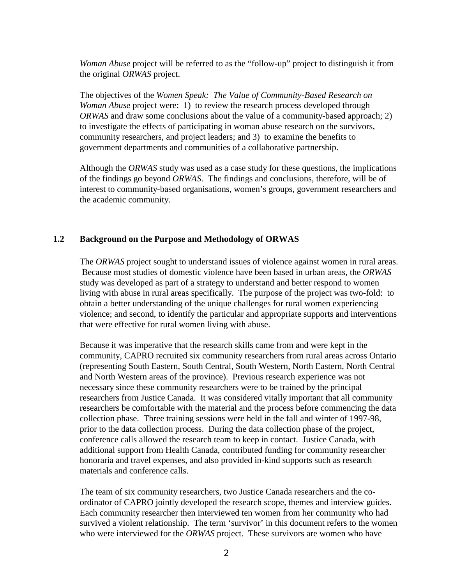<span id="page-7-0"></span>*Woman Abuse* project will be referred to as the "follow-up" project to distinguish it from the original *ORWAS* project.

The objectives of the *Women Speak: The Value of Community-Based Research on Woman Abuse* project were: 1) to review the research process developed through *ORWAS* and draw some conclusions about the value of a community-based approach; 2) to investigate the effects of participating in woman abuse research on the survivors, community researchers, and project leaders; and 3) to examine the benefits to government departments and communities of a collaborative partnership.

Although the *ORWAS* study was used as a case study for these questions, the implications of the findings go beyond *ORWAS*. The findings and conclusions, therefore, will be of interest to community-based organisations, women's groups, government researchers and the academic community.

## **1.2 Background on the Purpose and Methodology of ORWAS**

The *ORWAS* project sought to understand issues of violence against women in rural areas. Because most studies of domestic violence have been based in urban areas, the *ORWAS* study was developed as part of a strategy to understand and better respond to women living with abuse in rural areas specifically. The purpose of the project was two-fold: to obtain a better understanding of the unique challenges for rural women experiencing violence; and second, to identify the particular and appropriate supports and interventions that were effective for rural women living with abuse.

Because it was imperative that the research skills came from and were kept in the community, CAPRO recruited six community researchers from rural areas across Ontario (representing South Eastern, South Central, South Western, North Eastern, North Central and North Western areas of the province). Previous research experience was not necessary since these community researchers were to be trained by the principal researchers from Justice Canada. It was considered vitally important that all community researchers be comfortable with the material and the process before commencing the data collection phase. Three training sessions were held in the fall and winter of 1997-98, prior to the data collection process. During the data collection phase of the project, conference calls allowed the research team to keep in contact. Justice Canada, with additional support from Health Canada, contributed funding for community researcher honoraria and travel expenses, and also provided in-kind supports such as research materials and conference calls.

The team of six community researchers, two Justice Canada researchers and the coordinator of CAPRO jointly developed the research scope, themes and interview guides. Each community researcher then interviewed ten women from her community who had survived a violent relationship. The term 'survivor' in this document refers to the women who were interviewed for the *ORWAS* project. These survivors are women who have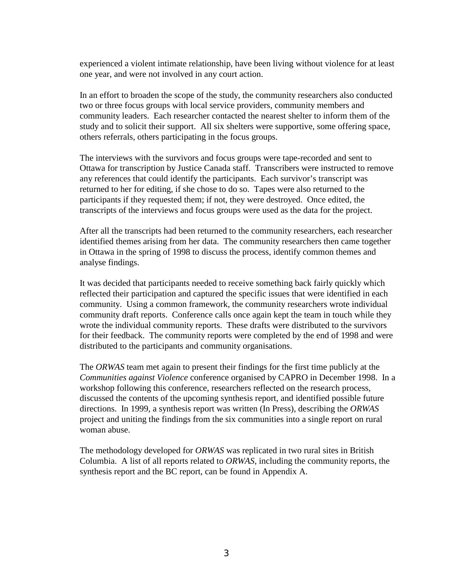experienced a violent intimate relationship, have been living without violence for at least one year, and were not involved in any court action.

In an effort to broaden the scope of the study, the community researchers also conducted two or three focus groups with local service providers, community members and community leaders. Each researcher contacted the nearest shelter to inform them of the study and to solicit their support. All six shelters were supportive, some offering space, others referrals, others participating in the focus groups.

The interviews with the survivors and focus groups were tape-recorded and sent to Ottawa for transcription by Justice Canada staff. Transcribers were instructed to remove any references that could identify the participants. Each survivor's transcript was returned to her for editing, if she chose to do so. Tapes were also returned to the participants if they requested them; if not, they were destroyed. Once edited, the transcripts of the interviews and focus groups were used as the data for the project.

After all the transcripts had been returned to the community researchers, each researcher identified themes arising from her data. The community researchers then came together in Ottawa in the spring of 1998 to discuss the process, identify common themes and analyse findings.

It was decided that participants needed to receive something back fairly quickly which reflected their participation and captured the specific issues that were identified in each community. Using a common framework, the community researchers wrote individual community draft reports. Conference calls once again kept the team in touch while they wrote the individual community reports. These drafts were distributed to the survivors for their feedback. The community reports were completed by the end of 1998 and were distributed to the participants and community organisations.

The *ORWAS* team met again to present their findings for the first time publicly at the *Communities against Violence* conference organised by CAPRO in December 1998. In a workshop following this conference, researchers reflected on the research process, discussed the contents of the upcoming synthesis report, and identified possible future directions. In 1999, a synthesis report was written (In Press), describing the *ORWAS* project and uniting the findings from the six communities into a single report on rural woman abuse.

The methodology developed for *ORWAS* was replicated in two rural sites in British Columbia. A list of all reports related to *ORWAS*, including the community reports, the synthesis report and the BC report, can be found in Appendix A.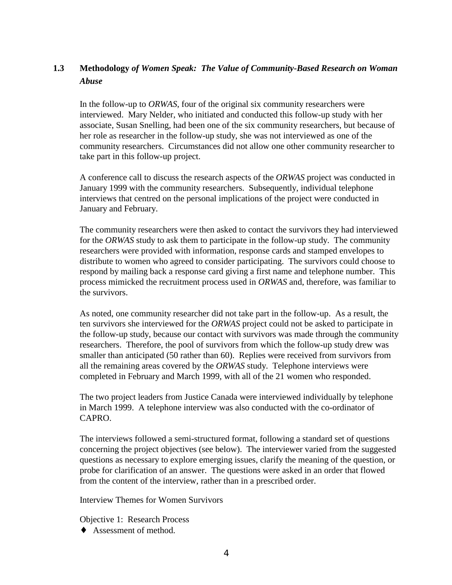## <span id="page-9-0"></span>**1.3 Methodology** *of Women Speak: The Value of Community-Based Research on Woman Abuse*

In the follow-up to *ORWAS*, four of the original six community researchers were interviewed. Mary Nelder, who initiated and conducted this follow-up study with her associate, Susan Snelling, had been one of the six community researchers, but because of her role as researcher in the follow-up study, she was not interviewed as one of the community researchers. Circumstances did not allow one other community researcher to take part in this follow-up project.

A conference call to discuss the research aspects of the *ORWAS* project was conducted in January 1999 with the community researchers. Subsequently, individual telephone interviews that centred on the personal implications of the project were conducted in January and February.

The community researchers were then asked to contact the survivors they had interviewed for the *ORWAS* study to ask them to participate in the follow-up study. The community researchers were provided with information, response cards and stamped envelopes to distribute to women who agreed to consider participating. The survivors could choose to respond by mailing back a response card giving a first name and telephone number. This process mimicked the recruitment process used in *ORWAS* and, therefore, was familiar to the survivors.

As noted, one community researcher did not take part in the follow-up. As a result, the ten survivors she interviewed for the *ORWAS* project could not be asked to participate in the follow-up study, because our contact with survivors was made through the community researchers. Therefore, the pool of survivors from which the follow-up study drew was smaller than anticipated (50 rather than 60). Replies were received from survivors from all the remaining areas covered by the *ORWAS* study. Telephone interviews were completed in February and March 1999, with all of the 21 women who responded.

The two project leaders from Justice Canada were interviewed individually by telephone in March 1999. A telephone interview was also conducted with the co-ordinator of CAPRO.

The interviews followed a semi-structured format, following a standard set of questions concerning the project objectives (see below). The interviewer varied from the suggested questions as necessary to explore emerging issues, clarify the meaning of the question, or probe for clarification of an answer. The questions were asked in an order that flowed from the content of the interview, rather than in a prescribed order.

Interview Themes for Women Survivors

Objective 1: Research Process

♦ Assessment of method.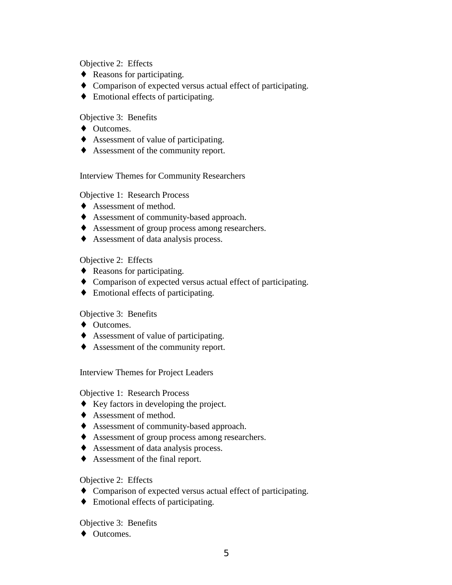## Objective 2: Effects

- ♦ Reasons for participating.
- ♦ Comparison of expected versus actual effect of participating.
- ♦ Emotional effects of participating.

## Objective 3: Benefits

- ♦ Outcomes.
- ♦ Assessment of value of participating.
- ♦ Assessment of the community report.

### Interview Themes for Community Researchers

## Objective 1: Research Process

- ♦ Assessment of method.
- ♦ Assessment of community-based approach.
- ♦ Assessment of group process among researchers.
- ♦ Assessment of data analysis process.

## Objective 2: Effects

- ♦ Reasons for participating.
- ♦ Comparison of expected versus actual effect of participating.
- ♦ Emotional effects of participating.

### Objective 3: Benefits

- ♦ Outcomes.
- ♦ Assessment of value of participating.
- ♦ Assessment of the community report.

Interview Themes for Project Leaders

### Objective 1: Research Process

- ♦ Key factors in developing the project.
- ♦ Assessment of method.
- ♦ Assessment of community-based approach.
- ♦ Assessment of group process among researchers.
- ♦ Assessment of data analysis process.
- ♦ Assessment of the final report.

### Objective 2: Effects

- ♦ Comparison of expected versus actual effect of participating.
- ♦ Emotional effects of participating.

### Objective 3: Benefits

♦ Outcomes.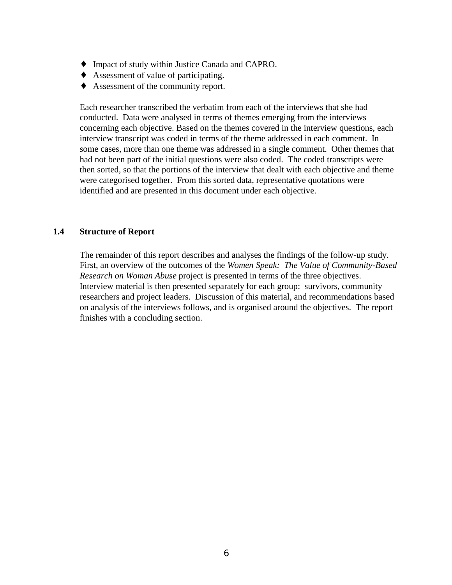- <span id="page-11-0"></span>♦ Impact of study within Justice Canada and CAPRO.
- ♦ Assessment of value of participating.
- ♦ Assessment of the community report.

Each researcher transcribed the verbatim from each of the interviews that she had conducted. Data were analysed in terms of themes emerging from the interviews concerning each objective. Based on the themes covered in the interview questions, each interview transcript was coded in terms of the theme addressed in each comment. In some cases, more than one theme was addressed in a single comment. Other themes that had not been part of the initial questions were also coded. The coded transcripts were then sorted, so that the portions of the interview that dealt with each objective and theme were categorised together. From this sorted data, representative quotations were identified and are presented in this document under each objective.

### **1.4 Structure of Report**

The remainder of this report describes and analyses the findings of the follow-up study. First, an overview of the outcomes of the *Women Speak: The Value of Community-Based Research on Woman Abuse* project is presented in terms of the three objectives. Interview material is then presented separately for each group: survivors, community researchers and project leaders. Discussion of this material, and recommendations based on analysis of the interviews follows, and is organised around the objectives. The report finishes with a concluding section.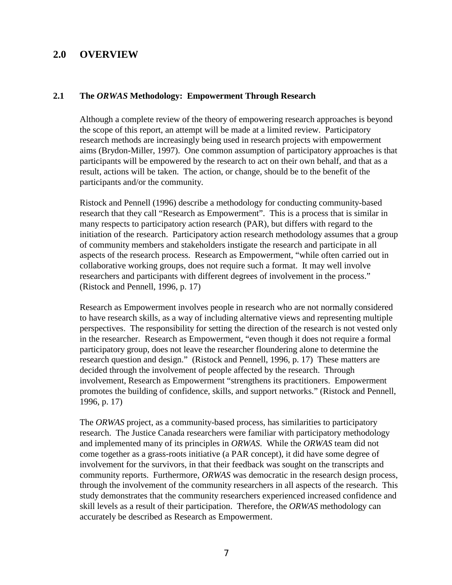## <span id="page-12-0"></span>**2.0 OVERVIEW**

#### **2.1 The** *ORWAS* **Methodology: Empowerment Through Research**

Although a complete review of the theory of empowering research approaches is beyond the scope of this report, an attempt will be made at a limited review. Participatory research methods are increasingly being used in research projects with empowerment aims (Brydon-Miller, 1997). One common assumption of participatory approaches is that participants will be empowered by the research to act on their own behalf, and that as a result, actions will be taken. The action, or change, should be to the benefit of the participants and/or the community.

Ristock and Pennell (1996) describe a methodology for conducting community-based research that they call "Research as Empowerment". This is a process that is similar in many respects to participatory action research (PAR), but differs with regard to the initiation of the research. Participatory action research methodology assumes that a group of community members and stakeholders instigate the research and participate in all aspects of the research process. Research as Empowerment, "while often carried out in collaborative working groups, does not require such a format. It may well involve researchers and participants with different degrees of involvement in the process." (Ristock and Pennell, 1996, p. 17)

Research as Empowerment involves people in research who are not normally considered to have research skills, as a way of including alternative views and representing multiple perspectives. The responsibility for setting the direction of the research is not vested only in the researcher. Research as Empowerment, "even though it does not require a formal participatory group, does not leave the researcher floundering alone to determine the research question and design." (Ristock and Pennell, 1996, p. 17) These matters are decided through the involvement of people affected by the research. Through involvement, Research as Empowerment "strengthens its practitioners. Empowerment promotes the building of confidence, skills, and support networks." (Ristock and Pennell, 1996, p. 17)

The *ORWAS* project, as a community-based process, has similarities to participatory research. The Justice Canada researchers were familiar with participatory methodology and implemented many of its principles in *ORWAS*. While the *ORWAS* team did not come together as a grass-roots initiative (a PAR concept), it did have some degree of involvement for the survivors, in that their feedback was sought on the transcripts and community reports. Furthermore, *ORWAS* was democratic in the research design process, through the involvement of the community researchers in all aspects of the research. This study demonstrates that the community researchers experienced increased confidence and skill levels as a result of their participation. Therefore, the *ORWAS* methodology can accurately be described as Research as Empowerment.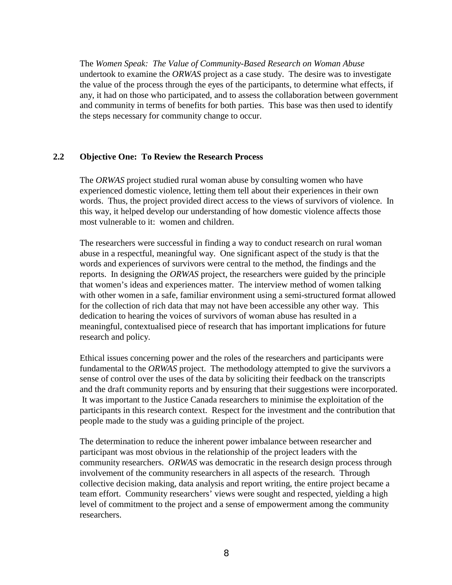<span id="page-13-0"></span>The *Women Speak: The Value of Community-Based Research on Woman Abuse* undertook to examine the *ORWAS* project as a case study. The desire was to investigate the value of the process through the eyes of the participants, to determine what effects, if any, it had on those who participated, and to assess the collaboration between government and community in terms of benefits for both parties. This base was then used to identify the steps necessary for community change to occur.

## **2.2 Objective One: To Review the Research Process**

The *ORWAS* project studied rural woman abuse by consulting women who have experienced domestic violence, letting them tell about their experiences in their own words. Thus, the project provided direct access to the views of survivors of violence. In this way, it helped develop our understanding of how domestic violence affects those most vulnerable to it: women and children.

The researchers were successful in finding a way to conduct research on rural woman abuse in a respectful, meaningful way. One significant aspect of the study is that the words and experiences of survivors were central to the method, the findings and the reports. In designing the *ORWAS* project, the researchers were guided by the principle that women's ideas and experiences matter. The interview method of women talking with other women in a safe, familiar environment using a semi-structured format allowed for the collection of rich data that may not have been accessible any other way. This dedication to hearing the voices of survivors of woman abuse has resulted in a meaningful, contextualised piece of research that has important implications for future research and policy.

Ethical issues concerning power and the roles of the researchers and participants were fundamental to the *ORWAS* project. The methodology attempted to give the survivors a sense of control over the uses of the data by soliciting their feedback on the transcripts and the draft community reports and by ensuring that their suggestions were incorporated. It was important to the Justice Canada researchers to minimise the exploitation of the participants in this research context. Respect for the investment and the contribution that people made to the study was a guiding principle of the project.

The determination to reduce the inherent power imbalance between researcher and participant was most obvious in the relationship of the project leaders with the community researchers. *ORWAS* was democratic in the research design process through involvement of the community researchers in all aspects of the research. Through collective decision making, data analysis and report writing, the entire project became a team effort. Community researchers' views were sought and respected, yielding a high level of commitment to the project and a sense of empowerment among the community researchers.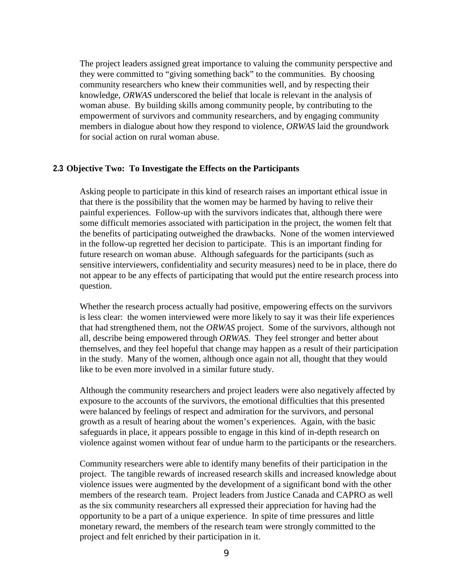<span id="page-14-0"></span>The project leaders assigned great importance to valuing the community perspective and they were committed to "giving something back" to the communities. By choosing community researchers who knew their communities well, and by respecting their knowledge, *ORWAS* underscored the belief that locale is relevant in the analysis of woman abuse. By building skills among community people, by contributing to the empowerment of survivors and community researchers, and by engaging community members in dialogue about how they respond to violence, *ORWAS* laid the groundwork for social action on rural woman abuse.

#### **2.3 Objective Two: To Investigate the Effects on the Participants**

Asking people to participate in this kind of research raises an important ethical issue in that there is the possibility that the women may be harmed by having to relive their painful experiences. Follow-up with the survivors indicates that, although there were some difficult memories associated with participation in the project, the women felt that the benefits of participating outweighed the drawbacks. None of the women interviewed in the follow-up regretted her decision to participate. This is an important finding for future research on woman abuse. Although safeguards for the participants (such as sensitive interviewers, confidentiality and security measures) need to be in place, there do not appear to be any effects of participating that would put the entire research process into question.

Whether the research process actually had positive, empowering effects on the survivors is less clear: the women interviewed were more likely to say it was their life experiences that had strengthened them, not the *ORWAS* project. Some of the survivors, although not all, describe being empowered through *ORWAS*. They feel stronger and better about themselves, and they feel hopeful that change may happen as a result of their participation in the study. Many of the women, although once again not all, thought that they would like to be even more involved in a similar future study.

Although the community researchers and project leaders were also negatively affected by exposure to the accounts of the survivors, the emotional difficulties that this presented were balanced by feelings of respect and admiration for the survivors, and personal growth as a result of hearing about the women's experiences. Again, with the basic safeguards in place, it appears possible to engage in this kind of in-depth research on violence against women without fear of undue harm to the participants or the researchers.

Community researchers were able to identify many benefits of their participation in the project. The tangible rewards of increased research skills and increased knowledge about violence issues were augmented by the development of a significant bond with the other members of the research team. Project leaders from Justice Canada and CAPRO as well as the six community researchers all expressed their appreciation for having had the opportunity to be a part of a unique experience. In spite of time pressures and little monetary reward, the members of the research team were strongly committed to the project and felt enriched by their participation in it.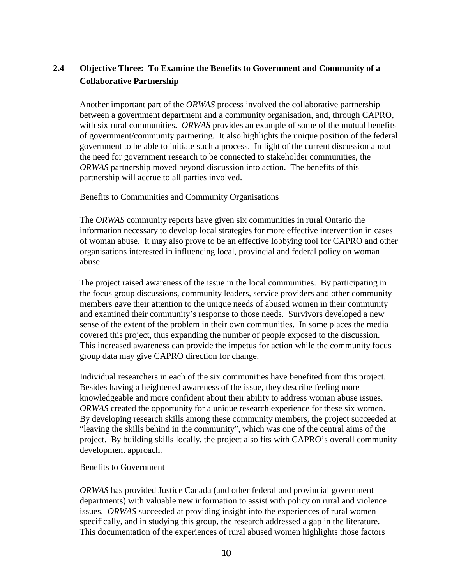## <span id="page-15-0"></span>**2.4 Objective Three: To Examine the Benefits to Government and Community of a Collaborative Partnership**

Another important part of the *ORWAS* process involved the collaborative partnership between a government department and a community organisation, and, through CAPRO, with six rural communities. *ORWAS* provides an example of some of the mutual benefits of government/community partnering. It also highlights the unique position of the federal government to be able to initiate such a process. In light of the current discussion about the need for government research to be connected to stakeholder communities, the *ORWAS* partnership moved beyond discussion into action. The benefits of this partnership will accrue to all parties involved.

Benefits to Communities and Community Organisations

The *ORWAS* community reports have given six communities in rural Ontario the information necessary to develop local strategies for more effective intervention in cases of woman abuse. It may also prove to be an effective lobbying tool for CAPRO and other organisations interested in influencing local, provincial and federal policy on woman abuse.

The project raised awareness of the issue in the local communities. By participating in the focus group discussions, community leaders, service providers and other community members gave their attention to the unique needs of abused women in their community and examined their community's response to those needs. Survivors developed a new sense of the extent of the problem in their own communities. In some places the media covered this project, thus expanding the number of people exposed to the discussion. This increased awareness can provide the impetus for action while the community focus group data may give CAPRO direction for change.

Individual researchers in each of the six communities have benefited from this project. Besides having a heightened awareness of the issue, they describe feeling more knowledgeable and more confident about their ability to address woman abuse issues. *ORWAS* created the opportunity for a unique research experience for these six women. By developing research skills among these community members, the project succeeded at "leaving the skills behind in the community", which was one of the central aims of the project. By building skills locally, the project also fits with CAPRO's overall community development approach.

### Benefits to Government

*ORWAS* has provided Justice Canada (and other federal and provincial government departments) with valuable new information to assist with policy on rural and violence issues. *ORWAS* succeeded at providing insight into the experiences of rural women specifically, and in studying this group, the research addressed a gap in the literature. This documentation of the experiences of rural abused women highlights those factors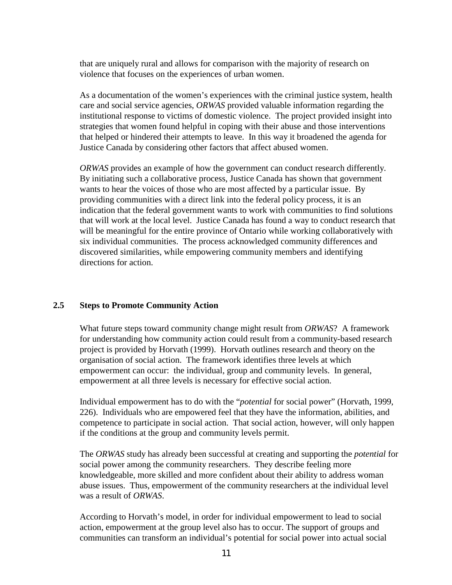<span id="page-16-0"></span>that are uniquely rural and allows for comparison with the majority of research on violence that focuses on the experiences of urban women.

As a documentation of the women's experiences with the criminal justice system, health care and social service agencies, *ORWAS* provided valuable information regarding the institutional response to victims of domestic violence. The project provided insight into strategies that women found helpful in coping with their abuse and those interventions that helped or hindered their attempts to leave. In this way it broadened the agenda for Justice Canada by considering other factors that affect abused women.

*ORWAS* provides an example of how the government can conduct research differently. By initiating such a collaborative process, Justice Canada has shown that government wants to hear the voices of those who are most affected by a particular issue. By providing communities with a direct link into the federal policy process, it is an indication that the federal government wants to work with communities to find solutions that will work at the local level. Justice Canada has found a way to conduct research that will be meaningful for the entire province of Ontario while working collaboratively with six individual communities. The process acknowledged community differences and discovered similarities, while empowering community members and identifying directions for action.

### **2.5 Steps to Promote Community Action**

What future steps toward community change might result from *ORWAS*? A framework for understanding how community action could result from a community-based research project is provided by Horvath (1999). Horvath outlines research and theory on the organisation of social action. The framework identifies three levels at which empowerment can occur: the individual, group and community levels. In general, empowerment at all three levels is necessary for effective social action.

Individual empowerment has to do with the "*potential* for social power" (Horvath, 1999, 226). Individuals who are empowered feel that they have the information, abilities, and competence to participate in social action. That social action, however, will only happen if the conditions at the group and community levels permit.

The *ORWAS* study has already been successful at creating and supporting the *potential* for social power among the community researchers. They describe feeling more knowledgeable, more skilled and more confident about their ability to address woman abuse issues. Thus, empowerment of the community researchers at the individual level was a result of *ORWAS*.

According to Horvath's model, in order for individual empowerment to lead to social action, empowerment at the group level also has to occur. The support of groups and communities can transform an individual's potential for social power into actual social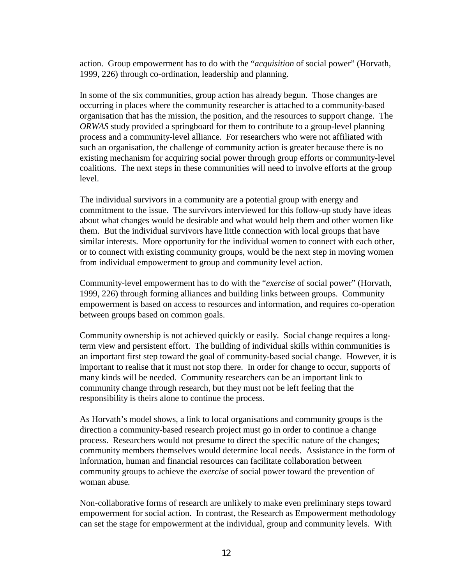action. Group empowerment has to do with the "*acquisition* of social power" (Horvath, 1999, 226) through co-ordination, leadership and planning.

In some of the six communities, group action has already begun. Those changes are occurring in places where the community researcher is attached to a community-based organisation that has the mission, the position, and the resources to support change. The *ORWAS* study provided a springboard for them to contribute to a group-level planning process and a community-level alliance. For researchers who were not affiliated with such an organisation, the challenge of community action is greater because there is no existing mechanism for acquiring social power through group efforts or community-level coalitions. The next steps in these communities will need to involve efforts at the group level.

The individual survivors in a community are a potential group with energy and commitment to the issue. The survivors interviewed for this follow-up study have ideas about what changes would be desirable and what would help them and other women like them. But the individual survivors have little connection with local groups that have similar interests. More opportunity for the individual women to connect with each other, or to connect with existing community groups, would be the next step in moving women from individual empowerment to group and community level action.

Community-level empowerment has to do with the "*exercise* of social power" (Horvath, 1999, 226) through forming alliances and building links between groups. Community empowerment is based on access to resources and information, and requires co-operation between groups based on common goals.

Community ownership is not achieved quickly or easily. Social change requires a longterm view and persistent effort. The building of individual skills within communities is an important first step toward the goal of community-based social change. However, it is important to realise that it must not stop there. In order for change to occur, supports of many kinds will be needed. Community researchers can be an important link to community change through research, but they must not be left feeling that the responsibility is theirs alone to continue the process.

As Horvath's model shows, a link to local organisations and community groups is the direction a community-based research project must go in order to continue a change process. Researchers would not presume to direct the specific nature of the changes; community members themselves would determine local needs. Assistance in the form of information, human and financial resources can facilitate collaboration between community groups to achieve the *exercise* of social power toward the prevention of woman abuse*.*

Non-collaborative forms of research are unlikely to make even preliminary steps toward empowerment for social action. In contrast, the Research as Empowerment methodology can set the stage for empowerment at the individual, group and community levels. With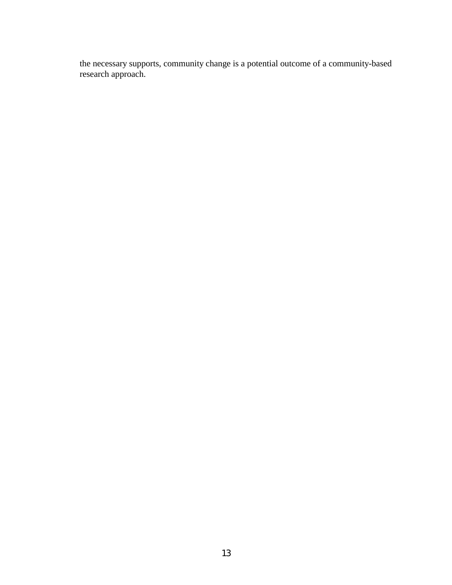the necessary supports, community change is a potential outcome of a community-based research approach.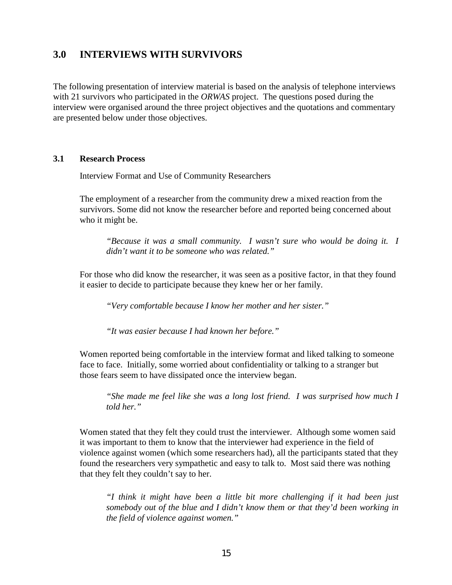## <span id="page-19-0"></span>**3.0 INTERVIEWS WITH SURVIVORS**

The following presentation of interview material is based on the analysis of telephone interviews with 21 survivors who participated in the *ORWAS* project. The questions posed during the interview were organised around the three project objectives and the quotations and commentary are presented below under those objectives.

#### **3.1 Research Process**

Interview Format and Use of Community Researchers

The employment of a researcher from the community drew a mixed reaction from the survivors. Some did not know the researcher before and reported being concerned about who it might be.

*"Because it was a small community. I wasn't sure who would be doing it. I didn't want it to be someone who was related."*

For those who did know the researcher, it was seen as a positive factor, in that they found it easier to decide to participate because they knew her or her family.

*"Very comfortable because I know her mother and her sister."*

*"It was easier because I had known her before."*

Women reported being comfortable in the interview format and liked talking to someone face to face. Initially, some worried about confidentiality or talking to a stranger but those fears seem to have dissipated once the interview began.

*"She made me feel like she was a long lost friend. I was surprised how much I told her."*

Women stated that they felt they could trust the interviewer. Although some women said it was important to them to know that the interviewer had experience in the field of violence against women (which some researchers had), all the participants stated that they found the researchers very sympathetic and easy to talk to. Most said there was nothing that they felt they couldn't say to her.

*"I think it might have been a little bit more challenging if it had been just somebody out of the blue and I didn't know them or that they'd been working in the field of violence against women."*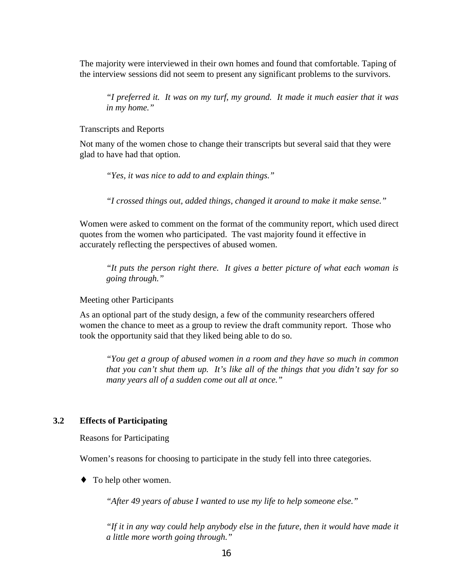<span id="page-20-0"></span>The majority were interviewed in their own homes and found that comfortable. Taping of the interview sessions did not seem to present any significant problems to the survivors.

*"I preferred it. It was on my turf, my ground. It made it much easier that it was in my home."*

Transcripts and Reports

Not many of the women chose to change their transcripts but several said that they were glad to have had that option.

*"Yes, it was nice to add to and explain things."*

*"I crossed things out, added things, changed it around to make it make sense."*

Women were asked to comment on the format of the community report, which used direct quotes from the women who participated. The vast majority found it effective in accurately reflecting the perspectives of abused women.

*"It puts the person right there. It gives a better picture of what each woman is going through."*

Meeting other Participants

As an optional part of the study design, a few of the community researchers offered women the chance to meet as a group to review the draft community report. Those who took the opportunity said that they liked being able to do so.

*"You get a group of abused women in a room and they have so much in common that you can't shut them up. It's like all of the things that you didn't say for so many years all of a sudden come out all at once."*

### **3.2 Effects of Participating**

Reasons for Participating

Women's reasons for choosing to participate in the study fell into three categories.

♦ To help other women.

*"After 49 years of abuse I wanted to use my life to help someone else."*

*"If it in any way could help anybody else in the future, then it would have made it a little more worth going through."*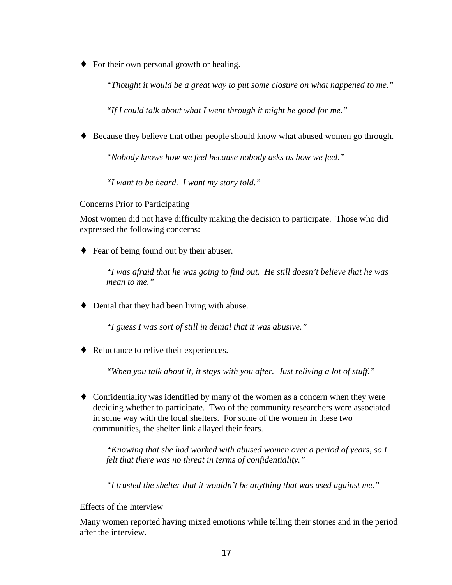♦ For their own personal growth or healing.

*"Thought it would be a great way to put some closure on what happened to me."*

*"If I could talk about what I went through it might be good for me."*

♦ Because they believe that other people should know what abused women go through.

*"Nobody knows how we feel because nobody asks us how we feel."*

*"I want to be heard. I want my story told."*

Concerns Prior to Participating

Most women did not have difficulty making the decision to participate. Those who did expressed the following concerns:

♦ Fear of being found out by their abuser.

*"I was afraid that he was going to find out. He still doesn't believe that he was mean to me."*

♦ Denial that they had been living with abuse.

*"I guess I was sort of still in denial that it was abusive."*

♦ Reluctance to relive their experiences.

*"When you talk about it, it stays with you after. Just reliving a lot of stuff."*

♦ Confidentiality was identified by many of the women as a concern when they were deciding whether to participate. Two of the community researchers were associated in some way with the local shelters. For some of the women in these two communities, the shelter link allayed their fears.

*"Knowing that she had worked with abused women over a period of years, so I felt that there was no threat in terms of confidentiality."*

*"I trusted the shelter that it wouldn't be anything that was used against me."*

Effects of the Interview

Many women reported having mixed emotions while telling their stories and in the period after the interview.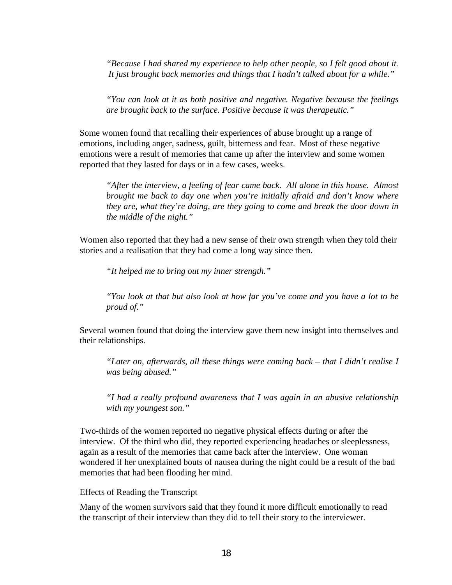*"Because I had shared my experience to help other people, so I felt good about it. It just brought back memories and things that I hadn't talked about for a while."*

*"You can look at it as both positive and negative. Negative because the feelings are brought back to the surface. Positive because it was therapeutic."*

Some women found that recalling their experiences of abuse brought up a range of emotions, including anger, sadness, guilt, bitterness and fear. Most of these negative emotions were a result of memories that came up after the interview and some women reported that they lasted for days or in a few cases, weeks.

*"After the interview, a feeling of fear came back. All alone in this house. Almost brought me back to day one when you're initially afraid and don't know where they are, what they're doing, are they going to come and break the door down in the middle of the night."*

Women also reported that they had a new sense of their own strength when they told their stories and a realisation that they had come a long way since then.

*"It helped me to bring out my inner strength."*

*"You look at that but also look at how far you've come and you have a lot to be proud of."*

Several women found that doing the interview gave them new insight into themselves and their relationships.

*"Later on, afterwards, all these things were coming back – that I didn't realise I was being abused."*

*"I had a really profound awareness that I was again in an abusive relationship with my youngest son."*

Two-thirds of the women reported no negative physical effects during or after the interview. Of the third who did, they reported experiencing headaches or sleeplessness, again as a result of the memories that came back after the interview. One woman wondered if her unexplained bouts of nausea during the night could be a result of the bad memories that had been flooding her mind.

#### Effects of Reading the Transcript

Many of the women survivors said that they found it more difficult emotionally to read the transcript of their interview than they did to tell their story to the interviewer.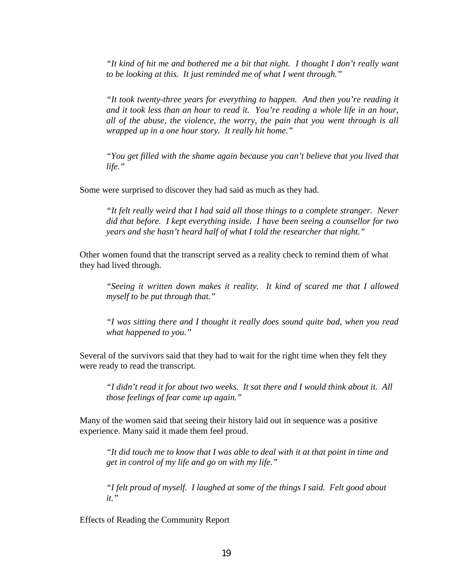*"It kind of hit me and bothered me a bit that night. I thought I don't really want to be looking at this. It just reminded me of what I went through."*

*"It took twenty-three years for everything to happen. And then you're reading it and it took less than an hour to read it. You're reading a whole life in an hour, all of the abuse, the violence, the worry, the pain that you went through is all wrapped up in a one hour story. It really hit home."*

*"You get filled with the shame again because you can't believe that you lived that life."*

Some were surprised to discover they had said as much as they had.

*"It felt really weird that I had said all those things to a complete stranger. Never did that before. I kept everything inside. I have been seeing a counsellor for two years and she hasn't heard half of what I told the researcher that night."*

Other women found that the transcript served as a reality check to remind them of what they had lived through.

*"Seeing it written down makes it reality. It kind of scared me that I allowed myself to be put through that."*

*"I was sitting there and I thought it really does sound quite bad, when you read what happened to you."*

Several of the survivors said that they had to wait for the right time when they felt they were ready to read the transcript.

*"I didn't read it for about two weeks. It sat there and I would think about it. All those feelings of fear came up again."*

Many of the women said that seeing their history laid out in sequence was a positive experience. Many said it made them feel proud.

*"It did touch me to know that I was able to deal with it at that point in time and get in control of my life and go on with my life."*

*"I felt proud of myself. I laughed at some of the things I said. Felt good about it."*

Effects of Reading the Community Report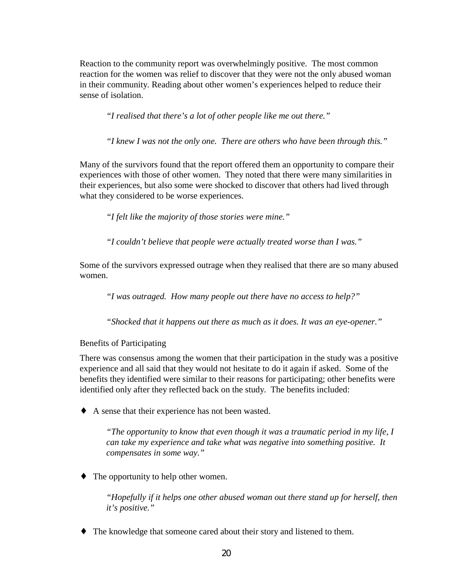Reaction to the community report was overwhelmingly positive. The most common reaction for the women was relief to discover that they were not the only abused woman in their community. Reading about other women's experiences helped to reduce their sense of isolation.

*"I realised that there's a lot of other people like me out there."*

*"I knew I was not the only one. There are others who have been through this."*

Many of the survivors found that the report offered them an opportunity to compare their experiences with those of other women. They noted that there were many similarities in their experiences, but also some were shocked to discover that others had lived through what they considered to be worse experiences.

*"I felt like the majority of those stories were mine."*

*"I couldn't believe that people were actually treated worse than I was."*

Some of the survivors expressed outrage when they realised that there are so many abused women.

*"I was outraged. How many people out there have no access to help?"*

*"Shocked that it happens out there as much as it does. It was an eye-opener."*

Benefits of Participating

There was consensus among the women that their participation in the study was a positive experience and all said that they would not hesitate to do it again if asked. Some of the benefits they identified were similar to their reasons for participating; other benefits were identified only after they reflected back on the study. The benefits included:

♦ A sense that their experience has not been wasted.

*"The opportunity to know that even though it was a traumatic period in my life, I can take my experience and take what was negative into something positive. It compensates in some way."*

• The opportunity to help other women.

*"Hopefully if it helps one other abused woman out there stand up for herself, then it's positive."*

♦ The knowledge that someone cared about their story and listened to them.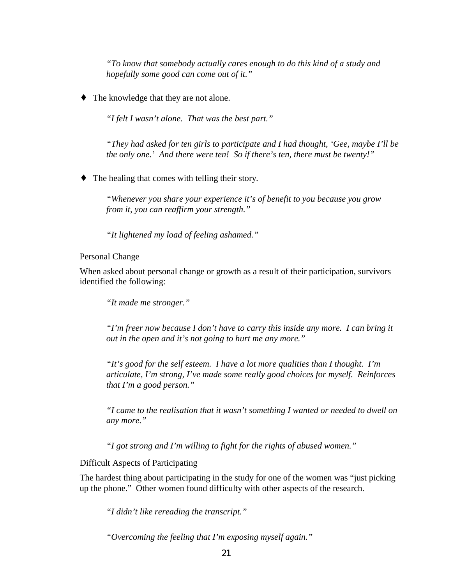*"To know that somebody actually cares enough to do this kind of a study and hopefully some good can come out of it."*

• The knowledge that they are not alone.

*"I felt I wasn't alone. That was the best part."*

*"They had asked for ten girls to participate and I had thought, 'Gee, maybe I'll be the only one.' And there were ten! So if there's ten, there must be twenty!"*

♦ The healing that comes with telling their story.

*"Whenever you share your experience it's of benefit to you because you grow from it, you can reaffirm your strength."*

*"It lightened my load of feeling ashamed."*

Personal Change

When asked about personal change or growth as a result of their participation, survivors identified the following:

*"It made me stronger."*

*"I'm freer now because I don't have to carry this inside any more. I can bring it out in the open and it's not going to hurt me any more."*

*"It's good for the self esteem. I have a lot more qualities than I thought. I'm articulate, I'm strong, I've made some really good choices for myself. Reinforces that I'm a good person."*

*"I came to the realisation that it wasn't something I wanted or needed to dwell on any more."*

*"I got strong and I'm willing to fight for the rights of abused women."*

Difficult Aspects of Participating

The hardest thing about participating in the study for one of the women was "just picking up the phone." Other women found difficulty with other aspects of the research.

*"I didn't like rereading the transcript."*

*"Overcoming the feeling that I'm exposing myself again."*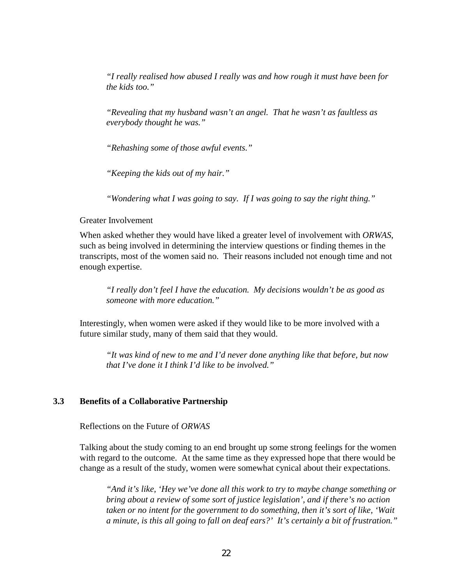<span id="page-26-0"></span>*"I really realised how abused I really was and how rough it must have been for the kids too."*

*"Revealing that my husband wasn't an angel. That he wasn't as faultless as everybody thought he was."*

*"Rehashing some of those awful events."*

*"Keeping the kids out of my hair."*

*"Wondering what I was going to say. If I was going to say the right thing."*

#### Greater Involvement

When asked whether they would have liked a greater level of involvement with *ORWAS*, such as being involved in determining the interview questions or finding themes in the transcripts, most of the women said no. Their reasons included not enough time and not enough expertise.

*"I really don't feel I have the education. My decisions wouldn't be as good as someone with more education."*

Interestingly, when women were asked if they would like to be more involved with a future similar study, many of them said that they would.

*"It was kind of new to me and I'd never done anything like that before, but now that I've done it I think I'd like to be involved."*

#### **3.3 Benefits of a Collaborative Partnership**

Reflections on the Future of *ORWAS*

Talking about the study coming to an end brought up some strong feelings for the women with regard to the outcome. At the same time as they expressed hope that there would be change as a result of the study, women were somewhat cynical about their expectations.

*"And it's like, 'Hey we've done all this work to try to maybe change something or bring about a review of some sort of justice legislation', and if there's no action taken or no intent for the government to do something, then it's sort of like, 'Wait a minute, is this all going to fall on deaf ears?' It's certainly a bit of frustration."*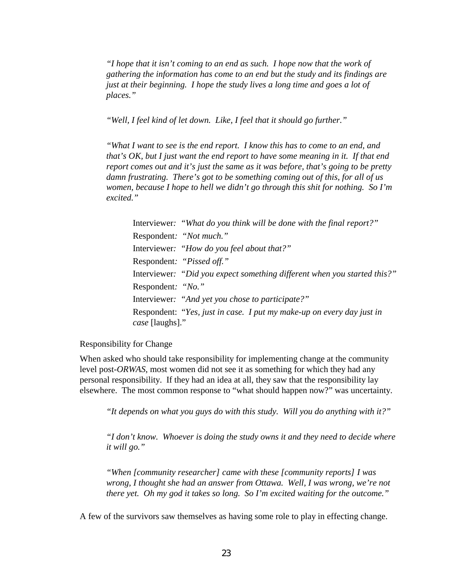*"I hope that it isn't coming to an end as such. I hope now that the work of gathering the information has come to an end but the study and its findings are just at their beginning. I hope the study lives a long time and goes a lot of places."*

*"Well, I feel kind of let down. Like, I feel that it should go further."*

*"What I want to see is the end report. I know this has to come to an end, and that's OK, but I just want the end report to have some meaning in it. If that end report comes out and it's just the same as it was before, that's going to be pretty damn frustrating. There's got to be something coming out of this, for all of us women, because I hope to hell we didn't go through this shit for nothing. So I'm excited."*

Interviewer*: "What do you think will be done with the final report?"* Respondent*: "Not much."* Interviewer*: "How do you feel about that?"* Respondent*: "Pissed off."* Interviewer*: "Did you expect something different when you started this?"* Respondent*: "No."* Interviewer*: "And yet you chose to participate?"* Respondent: "*Yes, just in case. I put my make-up on every day just in case* [laughs]."

#### Responsibility for Change

When asked who should take responsibility for implementing change at the community level post-*ORWAS*, most women did not see it as something for which they had any personal responsibility. If they had an idea at all, they saw that the responsibility lay elsewhere. The most common response to "what should happen now?" was uncertainty.

*"It depends on what you guys do with this study. Will you do anything with it?"*

*"I don't know. Whoever is doing the study owns it and they need to decide where it will go."*

*"When [community researcher] came with these [community reports] I was wrong, I thought she had an answer from Ottawa. Well, I was wrong, we're not there yet. Oh my god it takes so long. So I'm excited waiting for the outcome."*

A few of the survivors saw themselves as having some role to play in effecting change.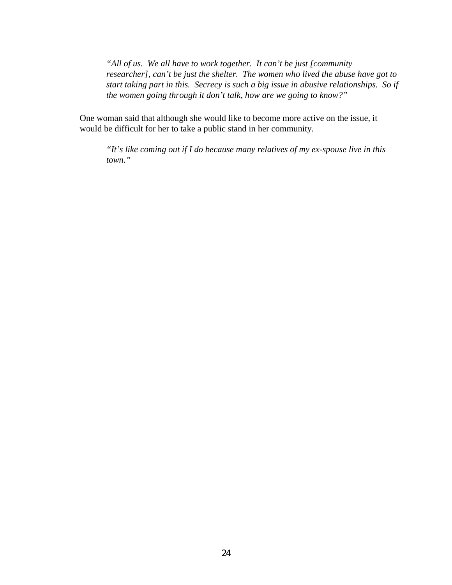*"All of us. We all have to work together. It can't be just [community researcher], can't be just the shelter. The women who lived the abuse have got to start taking part in this. Secrecy is such a big issue in abusive relationships. So if the women going through it don't talk, how are we going to know?"*

One woman said that although she would like to become more active on the issue, it would be difficult for her to take a public stand in her community.

*"It's like coming out if I do because many relatives of my ex-spouse live in this town."*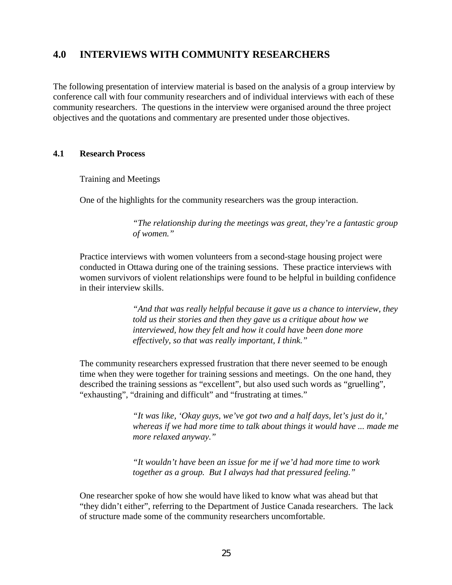## <span id="page-29-0"></span>**4.0 INTERVIEWS WITH COMMUNITY RESEARCHERS**

The following presentation of interview material is based on the analysis of a group interview by conference call with four community researchers and of individual interviews with each of these community researchers. The questions in the interview were organised around the three project objectives and the quotations and commentary are presented under those objectives.

## **4.1 Research Process**

Training and Meetings

One of the highlights for the community researchers was the group interaction.

*"The relationship during the meetings was great, they're a fantastic group of women."*

Practice interviews with women volunteers from a second-stage housing project were conducted in Ottawa during one of the training sessions. These practice interviews with women survivors of violent relationships were found to be helpful in building confidence in their interview skills.

> *"And that was really helpful because it gave us a chance to interview, they told us their stories and then they gave us a critique about how we interviewed, how they felt and how it could have been done more effectively, so that was really important, I think."*

The community researchers expressed frustration that there never seemed to be enough time when they were together for training sessions and meetings. On the one hand, they described the training sessions as "excellent", but also used such words as "gruelling", "exhausting", "draining and difficult" and "frustrating at times."

> *"It was like, 'Okay guys, we've got two and a half days, let's just do it,' whereas if we had more time to talk about things it would have ... made me more relaxed anyway."*

*"It wouldn't have been an issue for me if we'd had more time to work together as a group. But I always had that pressured feeling."*

One researcher spoke of how she would have liked to know what was ahead but that "they didn't either", referring to the Department of Justice Canada researchers. The lack of structure made some of the community researchers uncomfortable.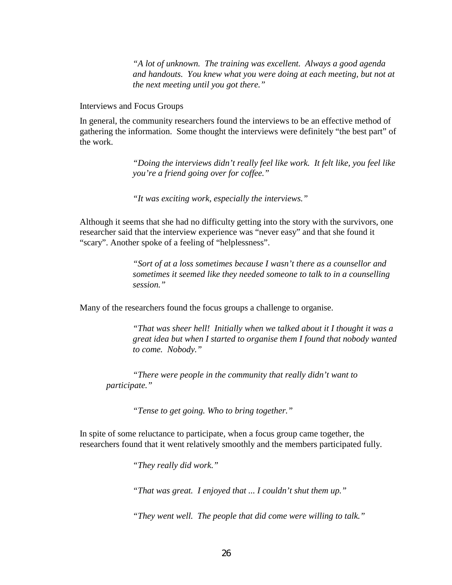*"A lot of unknown. The training was excellent. Always a good agenda and handouts. You knew what you were doing at each meeting, but not at the next meeting until you got there."*

Interviews and Focus Groups

In general, the community researchers found the interviews to be an effective method of gathering the information. Some thought the interviews were definitely "the best part" of the work.

> *"Doing the interviews didn't really feel like work. It felt like, you feel like you're a friend going over for coffee."*

*"It was exciting work, especially the interviews."*

Although it seems that she had no difficulty getting into the story with the survivors, one researcher said that the interview experience was "never easy" and that she found it "scary". Another spoke of a feeling of "helplessness".

> *"Sort of at a loss sometimes because I wasn't there as a counsellor and sometimes it seemed like they needed someone to talk to in a counselling session."*

Many of the researchers found the focus groups a challenge to organise.

*"That was sheer hell! Initially when we talked about it I thought it was a great idea but when I started to organise them I found that nobody wanted to come. Nobody."*

*"There were people in the community that really didn't want to participate."*

*"Tense to get going. Who to bring together."*

In spite of some reluctance to participate, when a focus group came together, the researchers found that it went relatively smoothly and the members participated fully.

*"They really did work."*

*"That was great. I enjoyed that ... I couldn't shut them up."*

*"They went well. The people that did come were willing to talk."*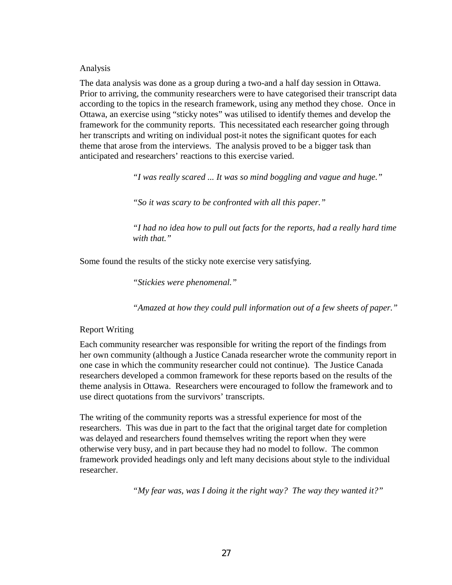Analysis

The data analysis was done as a group during a two-and a half day session in Ottawa. Prior to arriving, the community researchers were to have categorised their transcript data according to the topics in the research framework, using any method they chose. Once in Ottawa, an exercise using "sticky notes" was utilised to identify themes and develop the framework for the community reports. This necessitated each researcher going through her transcripts and writing on individual post-it notes the significant quotes for each theme that arose from the interviews. The analysis proved to be a bigger task than anticipated and researchers' reactions to this exercise varied.

*"I was really scared ... It was so mind boggling and vague and huge."*

*"So it was scary to be confronted with all this paper."*

*"I had no idea how to pull out facts for the reports, had a really hard time with that."*

Some found the results of the sticky note exercise very satisfying.

*"Stickies were phenomenal."*

*"Amazed at how they could pull information out of a few sheets of paper."*

### Report Writing

Each community researcher was responsible for writing the report of the findings from her own community (although a Justice Canada researcher wrote the community report in one case in which the community researcher could not continue). The Justice Canada researchers developed a common framework for these reports based on the results of the theme analysis in Ottawa. Researchers were encouraged to follow the framework and to use direct quotations from the survivors' transcripts.

The writing of the community reports was a stressful experience for most of the researchers. This was due in part to the fact that the original target date for completion was delayed and researchers found themselves writing the report when they were otherwise very busy, and in part because they had no model to follow. The common framework provided headings only and left many decisions about style to the individual researcher.

*"My fear was, was I doing it the right way? The way they wanted it?"*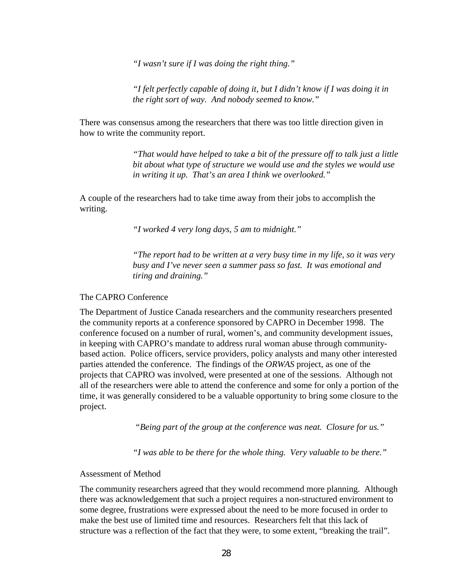*"I wasn't sure if I was doing the right thing."*

*"I felt perfectly capable of doing it, but I didn't know if I was doing it in the right sort of way. And nobody seemed to know."*

There was consensus among the researchers that there was too little direction given in how to write the community report.

> *"That would have helped to take a bit of the pressure off to talk just a little bit about what type of structure we would use and the styles we would use in writing it up. That's an area I think we overlooked."*

A couple of the researchers had to take time away from their jobs to accomplish the writing.

*"I worked 4 very long days, 5 am to midnight."*

*"The report had to be written at a very busy time in my life, so it was very busy and I've never seen a summer pass so fast. It was emotional and tiring and draining."*

### The CAPRO Conference

The Department of Justice Canada researchers and the community researchers presented the community reports at a conference sponsored by CAPRO in December 1998. The conference focused on a number of rural, women's, and community development issues, in keeping with CAPRO's mandate to address rural woman abuse through communitybased action. Police officers, service providers, policy analysts and many other interested parties attended the conference. The findings of the *ORWAS* project, as one of the projects that CAPRO was involved, were presented at one of the sessions. Although not all of the researchers were able to attend the conference and some for only a portion of the time, it was generally considered to be a valuable opportunity to bring some closure to the project.

 *"Being part of the group at the conference was neat. Closure for us."*

*"I was able to be there for the whole thing. Very valuable to be there."*

#### Assessment of Method

The community researchers agreed that they would recommend more planning. Although there was acknowledgement that such a project requires a non-structured environment to some degree, frustrations were expressed about the need to be more focused in order to make the best use of limited time and resources. Researchers felt that this lack of structure was a reflection of the fact that they were, to some extent, "breaking the trail".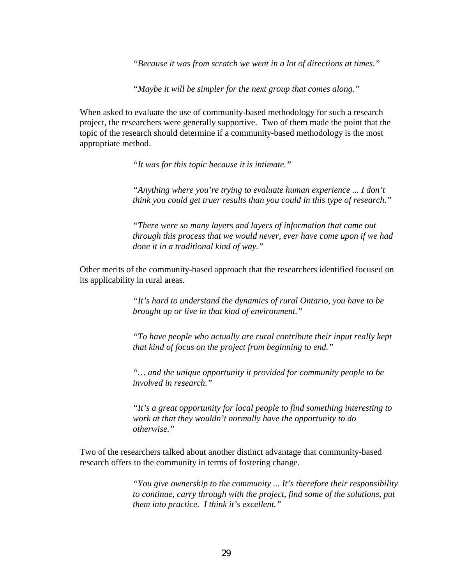*"Because it was from scratch we went in a lot of directions at times."*

*"Maybe it will be simpler for the next group that comes along."*

When asked to evaluate the use of community-based methodology for such a research project, the researchers were generally supportive. Two of them made the point that the topic of the research should determine if a community-based methodology is the most appropriate method.

*"It was for this topic because it is intimate."*

*"Anything where you're trying to evaluate human experience ... I don't think you could get truer results than you could in this type of research."*

*"There were so many layers and layers of information that came out through this process that we would never, ever have come upon if we had done it in a traditional kind of way."*

Other merits of the community-based approach that the researchers identified focused on its applicability in rural areas.

> *"It's hard to understand the dynamics of rural Ontario, you have to be brought up or live in that kind of environment."*

*"To have people who actually are rural contribute their input really kept that kind of focus on the project from beginning to end."*

*"… and the unique opportunity it provided for community people to be involved in research."*

*"It's a great opportunity for local people to find something interesting to work at that they wouldn't normally have the opportunity to do otherwise."*

Two of the researchers talked about another distinct advantage that community-based research offers to the community in terms of fostering change.

> *"You give ownership to the community ... It's therefore their responsibility to continue, carry through with the project, find some of the solutions, put them into practice. I think it's excellent."*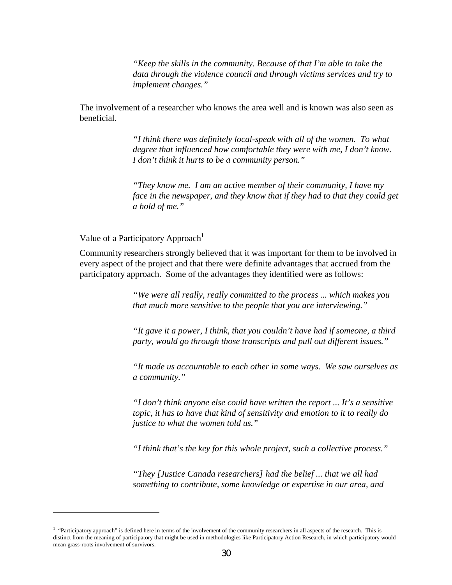*"Keep the skills in the community. Because of that I'm able to take the data through the violence council and through victims services and try to implement changes."*

The involvement of a researcher who knows the area well and is known was also seen as beneficial.

> *"I think there was definitely local-speak with all of the women. To what degree that influenced how comfortable they were with me, I don't know. I don't think it hurts to be a community person."*

*"They know me. I am an active member of their community, I have my face in the newspaper, and they know that if they had to that they could get a hold of me."*

Value of a Participatory Approach**<sup>1</sup>**

 $\overline{\phantom{0}}$ 

Community researchers strongly believed that it was important for them to be involved in every aspect of the project and that there were definite advantages that accrued from the participatory approach. Some of the advantages they identified were as follows:

> *"We were all really, really committed to the process ... which makes you that much more sensitive to the people that you are interviewing."*

*"It gave it a power, I think, that you couldn't have had if someone, a third party, would go through those transcripts and pull out different issues."*

*"It made us accountable to each other in some ways. We saw ourselves as a community."*

*"I don't think anyone else could have written the report ... It's a sensitive topic, it has to have that kind of sensitivity and emotion to it to really do justice to what the women told us."*

*"I think that's the key for this whole project, such a collective process."*

*"They [Justice Canada researchers] had the belief ... that we all had something to contribute, some knowledge or expertise in our area, and*

<sup>&</sup>lt;sup>1</sup> "Participatory approach" is defined here in terms of the involvement of the community researchers in all aspects of the research. This is distinct from the meaning of participatory that might be used in methodologies like Participatory Action Research, in which participatory would mean grass-roots involvement of survivors.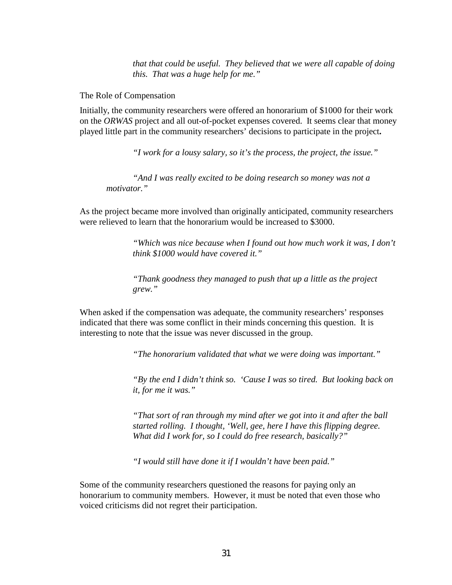*that that could be useful. They believed that we were all capable of doing this. That was a huge help for me."*

The Role of Compensation

Initially, the community researchers were offered an honorarium of \$1000 for their work on the *ORWAS* project and all out-of-pocket expenses covered. It seems clear that money played little part in the community researchers' decisions to participate in the project**.**

*"I work for a lousy salary, so it's the process, the project, the issue."*

*"And I was really excited to be doing research so money was not a motivator."*

As the project became more involved than originally anticipated, community researchers were relieved to learn that the honorarium would be increased to \$3000.

> *"Which was nice because when I found out how much work it was, I don't think \$1000 would have covered it."*

*"Thank goodness they managed to push that up a little as the project grew."*

When asked if the compensation was adequate, the community researchers' responses indicated that there was some conflict in their minds concerning this question. It is interesting to note that the issue was never discussed in the group.

*"The honorarium validated that what we were doing was important."*

*"By the end I didn't think so. 'Cause I was so tired. But looking back on it, for me it was."*

*"That sort of ran through my mind after we got into it and after the ball started rolling. I thought, 'Well, gee, here I have this flipping degree. What did I work for, so I could do free research, basically?"*

*"I would still have done it if I wouldn't have been paid."*

Some of the community researchers questioned the reasons for paying only an honorarium to community members. However, it must be noted that even those who voiced criticisms did not regret their participation.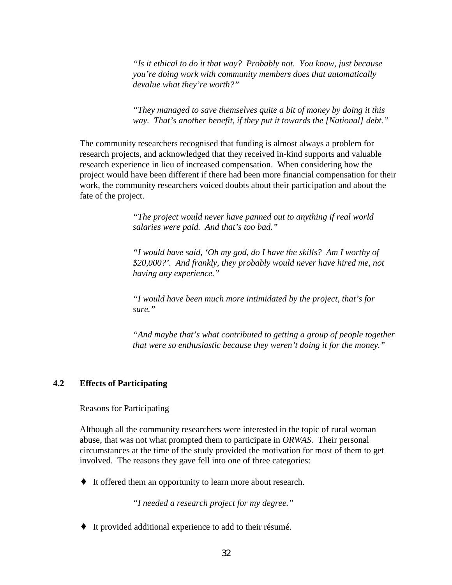<span id="page-36-0"></span>*"Is it ethical to do it that way? Probably not. You know, just because you're doing work with community members does that automatically devalue what they're worth?"*

*"They managed to save themselves quite a bit of money by doing it this way. That's another benefit, if they put it towards the [National] debt."*

The community researchers recognised that funding is almost always a problem for research projects, and acknowledged that they received in-kind supports and valuable research experience in lieu of increased compensation. When considering how the project would have been different if there had been more financial compensation for their work, the community researchers voiced doubts about their participation and about the fate of the project.

> *"The project would never have panned out to anything if real world salaries were paid. And that's too bad."*

*"I would have said, 'Oh my god, do I have the skills? Am I worthy of \$20,000?'. And frankly, they probably would never have hired me, not having any experience."*

*"I would have been much more intimidated by the project, that's for sure."*

*"And maybe that's what contributed to getting a group of people together that were so enthusiastic because they weren't doing it for the money."*

## **4.2 Effects of Participating**

Reasons for Participating

Although all the community researchers were interested in the topic of rural woman abuse, that was not what prompted them to participate in *ORWAS*. Their personal circumstances at the time of the study provided the motivation for most of them to get involved. The reasons they gave fell into one of three categories:

♦ It offered them an opportunity to learn more about research.

*"I needed a research project for my degree."*

♦ It provided additional experience to add to their résumé.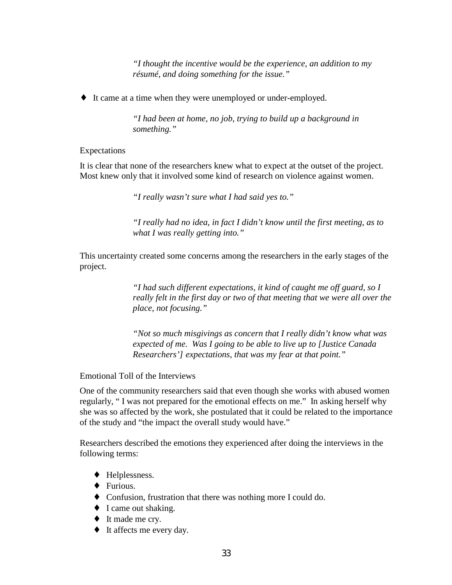*"I thought the incentive would be the experience, an addition to my résumé, and doing something for the issue."*

♦ It came at a time when they were unemployed or under-employed.

*"I had been at home, no job, trying to build up a background in something."*

#### Expectations

It is clear that none of the researchers knew what to expect at the outset of the project. Most knew only that it involved some kind of research on violence against women.

*"I really wasn't sure what I had said yes to."*

*"I really had no idea, in fact I didn't know until the first meeting, as to what I was really getting into."*

This uncertainty created some concerns among the researchers in the early stages of the project.

> *"I had such different expectations, it kind of caught me off guard, so I really felt in the first day or two of that meeting that we were all over the place, not focusing."*

*"Not so much misgivings as concern that I really didn't know what was expected of me. Was I going to be able to live up to [Justice Canada Researchers'] expectations, that was my fear at that point."*

Emotional Toll of the Interviews

One of the community researchers said that even though she works with abused women regularly, " I was not prepared for the emotional effects on me." In asking herself why she was so affected by the work, she postulated that it could be related to the importance of the study and "the impact the overall study would have."

Researchers described the emotions they experienced after doing the interviews in the following terms:

- ♦ Helplessness.
- ♦ Furious.
- ♦ Confusion, frustration that there was nothing more I could do.
- ♦ I came out shaking.
- ♦ It made me cry.
- ♦ It affects me every day.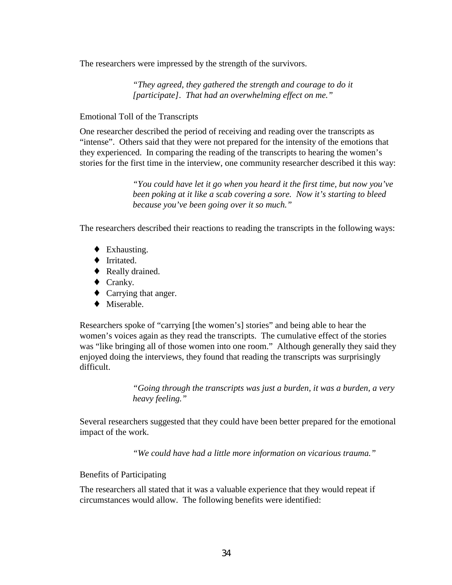The researchers were impressed by the strength of the survivors.

*"They agreed, they gathered the strength and courage to do it [participate]. That had an overwhelming effect on me."*

### Emotional Toll of the Transcripts

One researcher described the period of receiving and reading over the transcripts as "intense". Others said that they were not prepared for the intensity of the emotions that they experienced. In comparing the reading of the transcripts to hearing the women's stories for the first time in the interview, one community researcher described it this way:

> *"You could have let it go when you heard it the first time, but now you've been poking at it like a scab covering a sore. Now it's starting to bleed because you've been going over it so much."*

The researchers described their reactions to reading the transcripts in the following ways:

- ♦ Exhausting.
- ♦ Irritated.
- ♦ Really drained.
- ♦ Cranky.
- ♦ Carrying that anger.
- ♦ Miserable.

Researchers spoke of "carrying [the women's] stories" and being able to hear the women's voices again as they read the transcripts. The cumulative effect of the stories was "like bringing all of those women into one room." Although generally they said they enjoyed doing the interviews, they found that reading the transcripts was surprisingly difficult.

> *"Going through the transcripts was just a burden, it was a burden, a very heavy feeling."*

Several researchers suggested that they could have been better prepared for the emotional impact of the work.

*"We could have had a little more information on vicarious trauma."*

### Benefits of Participating

The researchers all stated that it was a valuable experience that they would repeat if circumstances would allow. The following benefits were identified: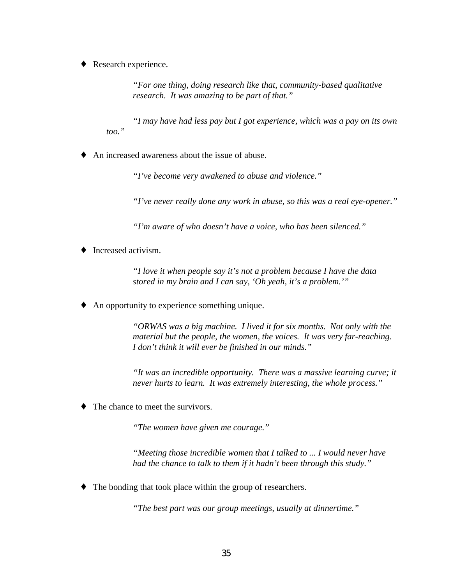Research experience.

*"For one thing, doing research like that, community-based qualitative research. It was amazing to be part of that."*

*"I may have had less pay but I got experience, which was a pay on its own too."*

♦ An increased awareness about the issue of abuse.

*"I've become very awakened to abuse and violence."*

*"I've never really done any work in abuse, so this was a real eye-opener."*

*"I'm aware of who doesn't have a voice, who has been silenced."*

Increased activism.

*"I love it when people say it's not a problem because I have the data stored in my brain and I can say, 'Oh yeah, it's a problem.'"*

♦ An opportunity to experience something unique.

*"ORWAS was a big machine. I lived it for six months. Not only with the material but the people, the women, the voices. It was very far-reaching. I don't think it will ever be finished in our minds."*

*"It was an incredible opportunity. There was a massive learning curve; it never hurts to learn. It was extremely interesting, the whole process."*

The chance to meet the survivors.

*"The women have given me courage."*

*"Meeting those incredible women that I talked to ... I would never have had the chance to talk to them if it hadn't been through this study."*

♦ The bonding that took place within the group of researchers.

*"The best part was our group meetings, usually at dinnertime."*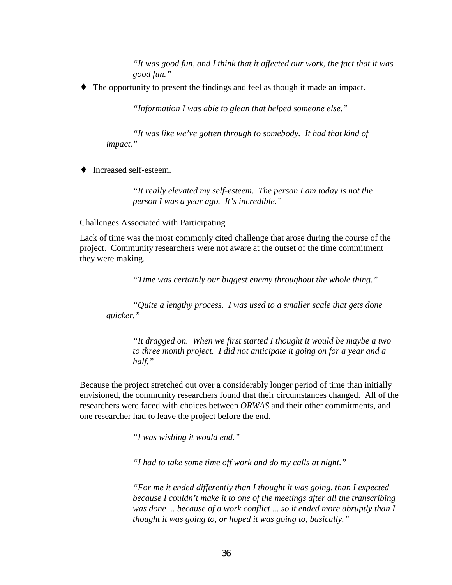*"It was good fun, and I think that it affected our work, the fact that it was good fun."*

♦ The opportunity to present the findings and feel as though it made an impact.

*"Information I was able to glean that helped someone else."*

*"It was like we've gotten through to somebody. It had that kind of impact."*

♦ Increased self-esteem.

*"It really elevated my self-esteem. The person I am today is not the person I was a year ago. It's incredible."*

Challenges Associated with Participating

Lack of time was the most commonly cited challenge that arose during the course of the project. Community researchers were not aware at the outset of the time commitment they were making.

*"Time was certainly our biggest enemy throughout the whole thing."*

*"Quite a lengthy process. I was used to a smaller scale that gets done quicker."*

*"It dragged on. When we first started I thought it would be maybe a two to three month project. I did not anticipate it going on for a year and a half."*

Because the project stretched out over a considerably longer period of time than initially envisioned, the community researchers found that their circumstances changed. All of the researchers were faced with choices between *ORWAS* and their other commitments, and one researcher had to leave the project before the end.

*"I was wishing it would end."*

*"I had to take some time off work and do my calls at night."*

*"For me it ended differently than I thought it was going, than I expected because I couldn't make it to one of the meetings after all the transcribing was done ... because of a work conflict ... so it ended more abruptly than I thought it was going to, or hoped it was going to, basically."*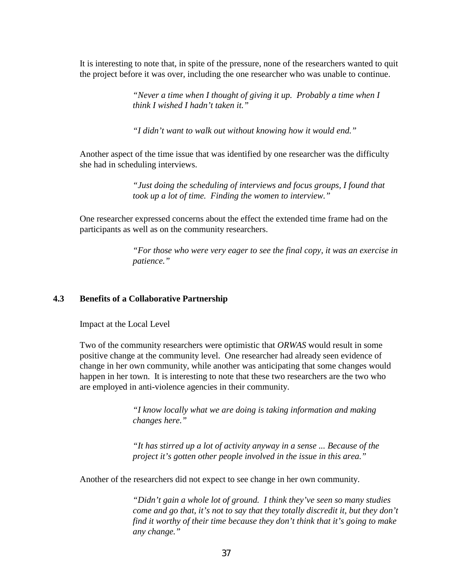<span id="page-41-0"></span>It is interesting to note that, in spite of the pressure, none of the researchers wanted to quit the project before it was over, including the one researcher who was unable to continue.

> *"Never a time when I thought of giving it up. Probably a time when I think I wished I hadn't taken it."*

*"I didn't want to walk out without knowing how it would end."*

Another aspect of the time issue that was identified by one researcher was the difficulty she had in scheduling interviews.

> *"Just doing the scheduling of interviews and focus groups, I found that took up a lot of time. Finding the women to interview."*

One researcher expressed concerns about the effect the extended time frame had on the participants as well as on the community researchers.

> *"For those who were very eager to see the final copy, it was an exercise in patience."*

#### **4.3 Benefits of a Collaborative Partnership**

Impact at the Local Level

Two of the community researchers were optimistic that *ORWAS* would result in some positive change at the community level. One researcher had already seen evidence of change in her own community, while another was anticipating that some changes would happen in her town. It is interesting to note that these two researchers are the two who are employed in anti-violence agencies in their community.

> *"I know locally what we are doing is taking information and making changes here."*

*"It has stirred up a lot of activity anyway in a sense ... Because of the project it's gotten other people involved in the issue in this area."*

Another of the researchers did not expect to see change in her own community.

*"Didn't gain a whole lot of ground. I think they've seen so many studies come and go that, it's not to say that they totally discredit it, but they don't find it worthy of their time because they don't think that it's going to make any change."*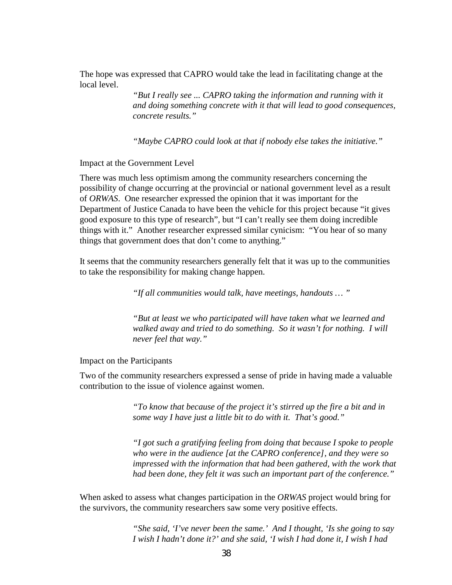The hope was expressed that CAPRO would take the lead in facilitating change at the local level.

> *"But I really see ... CAPRO taking the information and running with it and doing something concrete with it that will lead to good consequences, concrete results."*

*"Maybe CAPRO could look at that if nobody else takes the initiative."*

Impact at the Government Level

There was much less optimism among the community researchers concerning the possibility of change occurring at the provincial or national government level as a result of *ORWAS*. One researcher expressed the opinion that it was important for the Department of Justice Canada to have been the vehicle for this project because "it gives good exposure to this type of research", but "I can't really see them doing incredible things with it." Another researcher expressed similar cynicism: "You hear of so many things that government does that don't come to anything."

It seems that the community researchers generally felt that it was up to the communities to take the responsibility for making change happen.

*"If all communities would talk, have meetings, handouts … "*

*"But at least we who participated will have taken what we learned and walked away and tried to do something. So it wasn't for nothing. I will never feel that way."*

Impact on the Participants

Two of the community researchers expressed a sense of pride in having made a valuable contribution to the issue of violence against women.

> *"To know that because of the project it's stirred up the fire a bit and in some way I have just a little bit to do with it. That's good."*

*"I got such a gratifying feeling from doing that because I spoke to people who were in the audience [at the CAPRO conference], and they were so impressed with the information that had been gathered, with the work that had been done, they felt it was such an important part of the conference."*

When asked to assess what changes participation in the *ORWAS* project would bring for the survivors, the community researchers saw some very positive effects.

> *"She said, 'I've never been the same.' And I thought, 'Is she going to say I wish I hadn't done it?' and she said, 'I wish I had done it, I wish I had*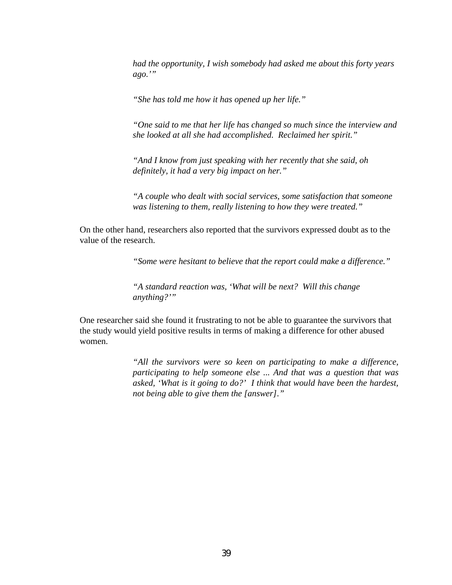*had the opportunity, I wish somebody had asked me about this forty years ago.'"*

*"She has told me how it has opened up her life."*

*"One said to me that her life has changed so much since the interview and she looked at all she had accomplished. Reclaimed her spirit."*

*"And I know from just speaking with her recently that she said, oh definitely, it had a very big impact on her."*

*"A couple who dealt with social services, some satisfaction that someone was listening to them, really listening to how they were treated."*

On the other hand, researchers also reported that the survivors expressed doubt as to the value of the research.

*"Some were hesitant to believe that the report could make a difference."*

*"A standard reaction was, 'What will be next? Will this change anything?'"*

One researcher said she found it frustrating to not be able to guarantee the survivors that the study would yield positive results in terms of making a difference for other abused women.

> *"All the survivors were so keen on participating to make a difference, participating to help someone else ... And that was a question that was asked, 'What is it going to do?' I think that would have been the hardest, not being able to give them the [answer]."*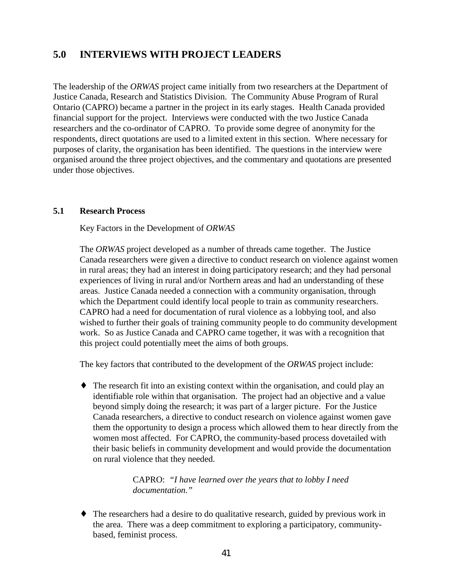## <span id="page-44-0"></span>**5.0 INTERVIEWS WITH PROJECT LEADERS**

The leadership of the *ORWAS* project came initially from two researchers at the Department of Justice Canada, Research and Statistics Division. The Community Abuse Program of Rural Ontario (CAPRO) became a partner in the project in its early stages. Health Canada provided financial support for the project. Interviews were conducted with the two Justice Canada researchers and the co-ordinator of CAPRO. To provide some degree of anonymity for the respondents, direct quotations are used to a limited extent in this section. Where necessary for purposes of clarity, the organisation has been identified. The questions in the interview were organised around the three project objectives, and the commentary and quotations are presented under those objectives.

### **5.1 Research Process**

Key Factors in the Development of *ORWAS*

The *ORWAS* project developed as a number of threads came together. The Justice Canada researchers were given a directive to conduct research on violence against women in rural areas; they had an interest in doing participatory research; and they had personal experiences of living in rural and/or Northern areas and had an understanding of these areas. Justice Canada needed a connection with a community organisation, through which the Department could identify local people to train as community researchers. CAPRO had a need for documentation of rural violence as a lobbying tool, and also wished to further their goals of training community people to do community development work. So as Justice Canada and CAPRO came together, it was with a recognition that this project could potentially meet the aims of both groups.

The key factors that contributed to the development of the *ORWAS* project include:

♦ The research fit into an existing context within the organisation, and could play an identifiable role within that organisation. The project had an objective and a value beyond simply doing the research; it was part of a larger picture. For the Justice Canada researchers, a directive to conduct research on violence against women gave them the opportunity to design a process which allowed them to hear directly from the women most affected. For CAPRO, the community-based process dovetailed with their basic beliefs in community development and would provide the documentation on rural violence that they needed.

> CAPRO: *"I have learned over the years that to lobby I need documentation."*

♦ The researchers had a desire to do qualitative research, guided by previous work in the area. There was a deep commitment to exploring a participatory, communitybased, feminist process.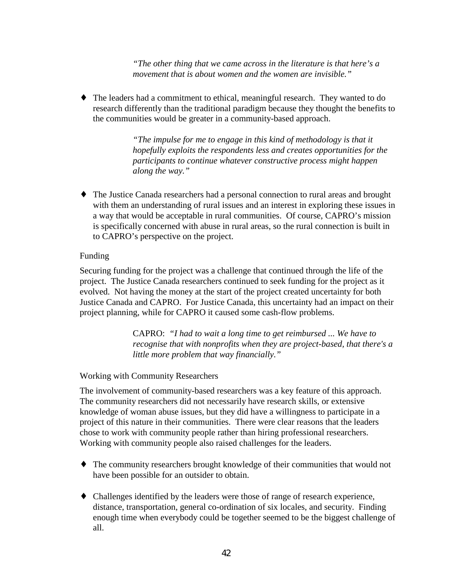*"The other thing that we came across in the literature is that here's a movement that is about women and the women are invisible."*

♦ The leaders had a commitment to ethical, meaningful research. They wanted to do research differently than the traditional paradigm because they thought the benefits to the communities would be greater in a community-based approach.

> *"The impulse for me to engage in this kind of methodology is that it hopefully exploits the respondents less and creates opportunities for the participants to continue whatever constructive process might happen along the way."*

♦ The Justice Canada researchers had a personal connection to rural areas and brought with them an understanding of rural issues and an interest in exploring these issues in a way that would be acceptable in rural communities. Of course, CAPRO's mission is specifically concerned with abuse in rural areas, so the rural connection is built in to CAPRO's perspective on the project.

### Funding

Securing funding for the project was a challenge that continued through the life of the project. The Justice Canada researchers continued to seek funding for the project as it evolved. Not having the money at the start of the project created uncertainty for both Justice Canada and CAPRO. For Justice Canada, this uncertainty had an impact on their project planning, while for CAPRO it caused some cash-flow problems.

> CAPRO: *"I had to wait a long time to get reimbursed ... We have to recognise that with nonprofits when they are project-based, that there's a little more problem that way financially."*

#### Working with Community Researchers

The involvement of community-based researchers was a key feature of this approach. The community researchers did not necessarily have research skills, or extensive knowledge of woman abuse issues, but they did have a willingness to participate in a project of this nature in their communities. There were clear reasons that the leaders chose to work with community people rather than hiring professional researchers. Working with community people also raised challenges for the leaders.

- ♦ The community researchers brought knowledge of their communities that would not have been possible for an outsider to obtain.
- ♦ Challenges identified by the leaders were those of range of research experience, distance, transportation, general co-ordination of six locales, and security. Finding enough time when everybody could be together seemed to be the biggest challenge of all.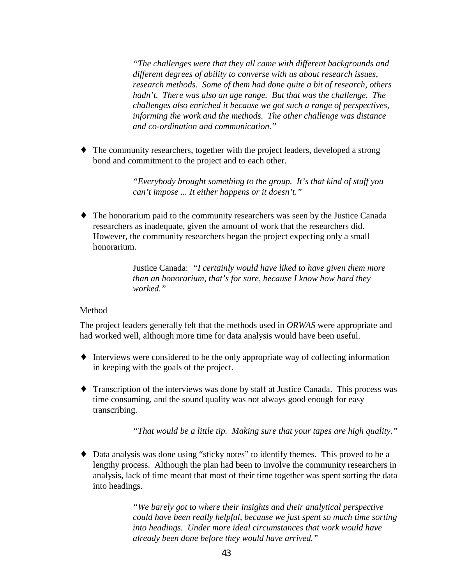*"The challenges were that they all came with different backgrounds and different degrees of ability to converse with us about research issues, research methods. Some of them had done quite a bit of research, others hadn't. There was also an age range. But that was the challenge. The challenges also enriched it because we got such a range of perspectives, informing the work and the methods. The other challenge was distance and co-ordination and communication."*

♦ The community researchers, together with the project leaders, developed a strong bond and commitment to the project and to each other.

> *"Everybody brought something to the group. It's that kind of stuff you can't impose ... It either happens or it doesn't."*

♦ The honorarium paid to the community researchers was seen by the Justice Canada researchers as inadequate, given the amount of work that the researchers did. However, the community researchers began the project expecting only a small honorarium.

> Justice Canada: *"I certainly would have liked to have given them more than an honorarium, that's for sure, because I know how hard they worked."*

### **Method**

The project leaders generally felt that the methods used in *ORWAS* were appropriate and had worked well, although more time for data analysis would have been useful.

- ♦ Interviews were considered to be the only appropriate way of collecting information in keeping with the goals of the project.
- ♦ Transcription of the interviews was done by staff at Justice Canada. This process was time consuming, and the sound quality was not always good enough for easy transcribing.

*"That would be a little tip. Making sure that your tapes are high quality."*

♦ Data analysis was done using "sticky notes" to identify themes. This proved to be a lengthy process. Although the plan had been to involve the community researchers in analysis, lack of time meant that most of their time together was spent sorting the data into headings.

> *"We barely got to where their insights and their analytical perspective could have been really helpful, because we just spent so much time sorting into headings. Under more ideal circumstances that work would have already been done before they would have arrived."*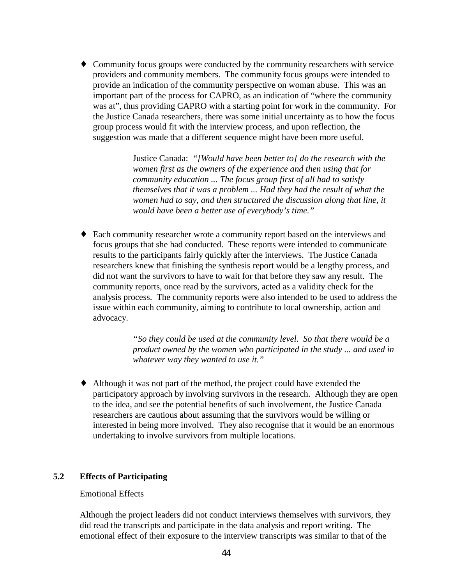<span id="page-47-0"></span>♦ Community focus groups were conducted by the community researchers with service providers and community members. The community focus groups were intended to provide an indication of the community perspective on woman abuse. This was an important part of the process for CAPRO, as an indication of "where the community was at", thus providing CAPRO with a starting point for work in the community. For the Justice Canada researchers, there was some initial uncertainty as to how the focus group process would fit with the interview process, and upon reflection, the suggestion was made that a different sequence might have been more useful.

> Justice Canada: *"[Would have been better to] do the research with the women first as the owners of the experience and then using that for community education ... The focus group first of all had to satisfy themselves that it was a problem ... Had they had the result of what the women had to say, and then structured the discussion along that line, it would have been a better use of everybody's time."*

♦ Each community researcher wrote a community report based on the interviews and focus groups that she had conducted. These reports were intended to communicate results to the participants fairly quickly after the interviews. The Justice Canada researchers knew that finishing the synthesis report would be a lengthy process, and did not want the survivors to have to wait for that before they saw any result. The community reports, once read by the survivors, acted as a validity check for the analysis process. The community reports were also intended to be used to address the issue within each community, aiming to contribute to local ownership, action and advocacy.

> *"So they could be used at the community level. So that there would be a product owned by the women who participated in the study ... and used in whatever way they wanted to use it."*

♦ Although it was not part of the method, the project could have extended the participatory approach by involving survivors in the research. Although they are open to the idea, and see the potential benefits of such involvement, the Justice Canada researchers are cautious about assuming that the survivors would be willing or interested in being more involved. They also recognise that it would be an enormous undertaking to involve survivors from multiple locations.

## **5.2 Effects of Participating**

### Emotional Effects

Although the project leaders did not conduct interviews themselves with survivors, they did read the transcripts and participate in the data analysis and report writing. The emotional effect of their exposure to the interview transcripts was similar to that of the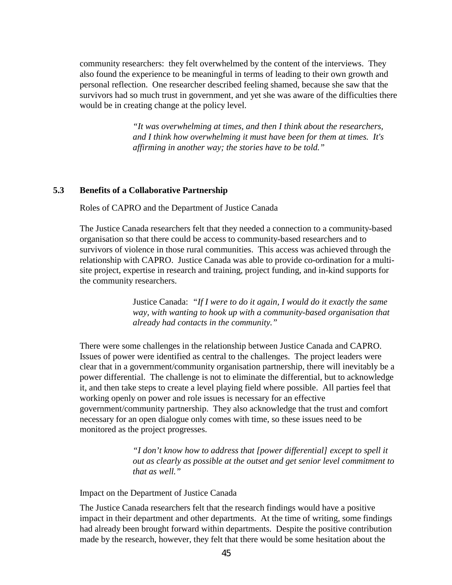<span id="page-48-0"></span>community researchers: they felt overwhelmed by the content of the interviews. They also found the experience to be meaningful in terms of leading to their own growth and personal reflection. One researcher described feeling shamed, because she saw that the survivors had so much trust in government, and yet she was aware of the difficulties there would be in creating change at the policy level.

> *"It was overwhelming at times, and then I think about the researchers, and I think how overwhelming it must have been for them at times. It's affirming in another way; the stories have to be told."*

#### **5.3 Benefits of a Collaborative Partnership**

Roles of CAPRO and the Department of Justice Canada

The Justice Canada researchers felt that they needed a connection to a community-based organisation so that there could be access to community-based researchers and to survivors of violence in those rural communities. This access was achieved through the relationship with CAPRO. Justice Canada was able to provide co-ordination for a multisite project, expertise in research and training, project funding, and in-kind supports for the community researchers.

> Justice Canada: *"If I were to do it again, I would do it exactly the same way, with wanting to hook up with a community-based organisation that already had contacts in the community."*

There were some challenges in the relationship between Justice Canada and CAPRO. Issues of power were identified as central to the challenges. The project leaders were clear that in a government/community organisation partnership, there will inevitably be a power differential. The challenge is not to eliminate the differential, but to acknowledge it, and then take steps to create a level playing field where possible. All parties feel that working openly on power and role issues is necessary for an effective government/community partnership. They also acknowledge that the trust and comfort necessary for an open dialogue only comes with time, so these issues need to be monitored as the project progresses.

> *"I don't know how to address that [power differential] except to spell it out as clearly as possible at the outset and get senior level commitment to that as well."*

Impact on the Department of Justice Canada

The Justice Canada researchers felt that the research findings would have a positive impact in their department and other departments. At the time of writing, some findings had already been brought forward within departments. Despite the positive contribution made by the research, however, they felt that there would be some hesitation about the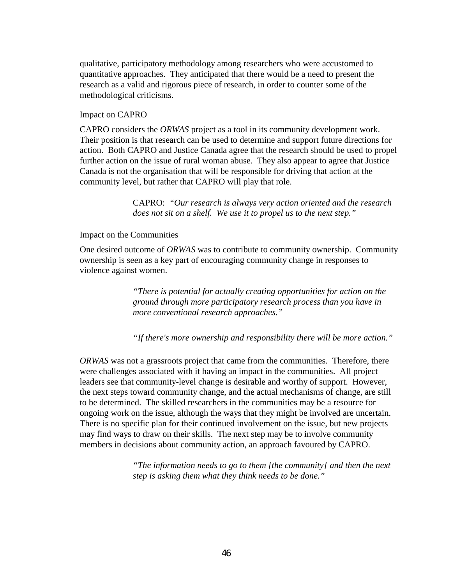qualitative, participatory methodology among researchers who were accustomed to quantitative approaches. They anticipated that there would be a need to present the research as a valid and rigorous piece of research, in order to counter some of the methodological criticisms.

#### Impact on CAPRO

CAPRO considers the *ORWAS* project as a tool in its community development work. Their position is that research can be used to determine and support future directions for action. Both CAPRO and Justice Canada agree that the research should be used to propel further action on the issue of rural woman abuse. They also appear to agree that Justice Canada is not the organisation that will be responsible for driving that action at the community level, but rather that CAPRO will play that role.

> CAPRO: *"Our research is always very action oriented and the research does not sit on a shelf. We use it to propel us to the next step."*

#### Impact on the Communities

One desired outcome of *ORWAS* was to contribute to community ownership. Community ownership is seen as a key part of encouraging community change in responses to violence against women.

> *"There is potential for actually creating opportunities for action on the ground through more participatory research process than you have in more conventional research approaches."*

*"If there's more ownership and responsibility there will be more action."*

*ORWAS* was not a grassroots project that came from the communities. Therefore, there were challenges associated with it having an impact in the communities. All project leaders see that community-level change is desirable and worthy of support. However, the next steps toward community change, and the actual mechanisms of change, are still to be determined. The skilled researchers in the communities may be a resource for ongoing work on the issue, although the ways that they might be involved are uncertain. There is no specific plan for their continued involvement on the issue, but new projects may find ways to draw on their skills. The next step may be to involve community members in decisions about community action, an approach favoured by CAPRO.

> *"The information needs to go to them [the community] and then the next step is asking them what they think needs to be done."*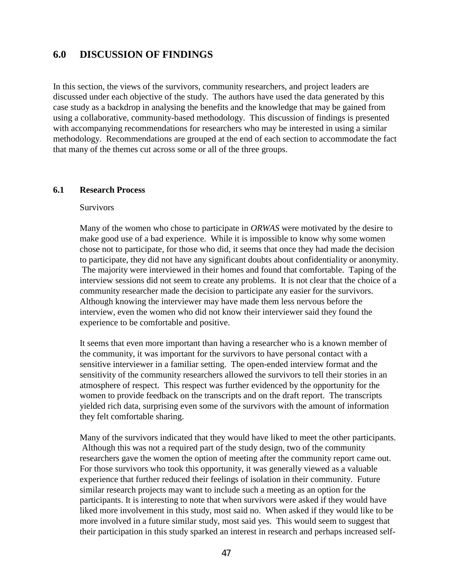## <span id="page-50-0"></span>**6.0 DISCUSSION OF FINDINGS**

In this section, the views of the survivors, community researchers, and project leaders are discussed under each objective of the study. The authors have used the data generated by this case study as a backdrop in analysing the benefits and the knowledge that may be gained from using a collaborative, community-based methodology. This discussion of findings is presented with accompanying recommendations for researchers who may be interested in using a similar methodology. Recommendations are grouped at the end of each section to accommodate the fact that many of the themes cut across some or all of the three groups.

#### **6.1 Research Process**

#### Survivors

Many of the women who chose to participate in *ORWAS* were motivated by the desire to make good use of a bad experience. While it is impossible to know why some women chose not to participate, for those who did, it seems that once they had made the decision to participate, they did not have any significant doubts about confidentiality or anonymity. The majority were interviewed in their homes and found that comfortable. Taping of the interview sessions did not seem to create any problems. It is not clear that the choice of a community researcher made the decision to participate any easier for the survivors. Although knowing the interviewer may have made them less nervous before the interview, even the women who did not know their interviewer said they found the experience to be comfortable and positive.

It seems that even more important than having a researcher who is a known member of the community, it was important for the survivors to have personal contact with a sensitive interviewer in a familiar setting. The open-ended interview format and the sensitivity of the community researchers allowed the survivors to tell their stories in an atmosphere of respect. This respect was further evidenced by the opportunity for the women to provide feedback on the transcripts and on the draft report. The transcripts yielded rich data, surprising even some of the survivors with the amount of information they felt comfortable sharing.

Many of the survivors indicated that they would have liked to meet the other participants. Although this was not a required part of the study design, two of the community researchers gave the women the option of meeting after the community report came out. For those survivors who took this opportunity, it was generally viewed as a valuable experience that further reduced their feelings of isolation in their community. Future similar research projects may want to include such a meeting as an option for the participants. It is interesting to note that when survivors were asked if they would have liked more involvement in this study, most said no. When asked if they would like to be more involved in a future similar study, most said yes. This would seem to suggest that their participation in this study sparked an interest in research and perhaps increased self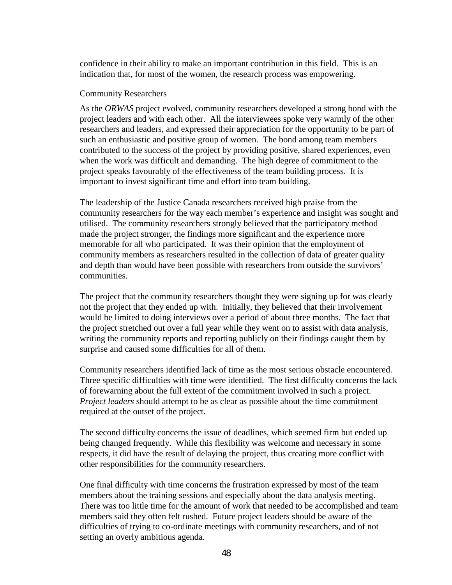confidence in their ability to make an important contribution in this field. This is an indication that, for most of the women, the research process was empowering.

#### Community Researchers

As the *ORWAS* project evolved, community researchers developed a strong bond with the project leaders and with each other. All the interviewees spoke very warmly of the other researchers and leaders, and expressed their appreciation for the opportunity to be part of such an enthusiastic and positive group of women. The bond among team members contributed to the success of the project by providing positive, shared experiences, even when the work was difficult and demanding. The high degree of commitment to the project speaks favourably of the effectiveness of the team building process. It is important to invest significant time and effort into team building.

The leadership of the Justice Canada researchers received high praise from the community researchers for the way each member's experience and insight was sought and utilised. The community researchers strongly believed that the participatory method made the project stronger, the findings more significant and the experience more memorable for all who participated. It was their opinion that the employment of community members as researchers resulted in the collection of data of greater quality and depth than would have been possible with researchers from outside the survivors' communities.

The project that the community researchers thought they were signing up for was clearly not the project that they ended up with. Initially, they believed that their involvement would be limited to doing interviews over a period of about three months. The fact that the project stretched out over a full year while they went on to assist with data analysis, writing the community reports and reporting publicly on their findings caught them by surprise and caused some difficulties for all of them.

Community researchers identified lack of time as the most serious obstacle encountered. Three specific difficulties with time were identified. The first difficulty concerns the lack of forewarning about the full extent of the commitment involved in such a project. *Project leaders* should attempt to be as clear as possible about the time commitment required at the outset of the project.

The second difficulty concerns the issue of deadlines, which seemed firm but ended up being changed frequently. While this flexibility was welcome and necessary in some respects, it did have the result of delaying the project, thus creating more conflict with other responsibilities for the community researchers.

One final difficulty with time concerns the frustration expressed by most of the team members about the training sessions and especially about the data analysis meeting. There was too little time for the amount of work that needed to be accomplished and team members said they often felt rushed. Future project leaders should be aware of the difficulties of trying to co-ordinate meetings with community researchers, and of not setting an overly ambitious agenda.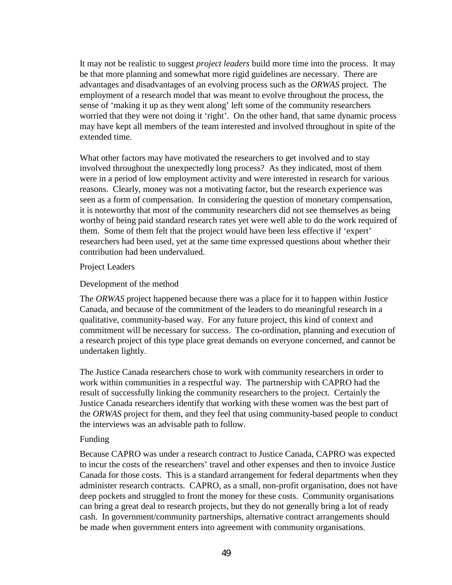It may not be realistic to suggest *project leaders* build more time into the process. It may be that more planning and somewhat more rigid guidelines are necessary. There are advantages and disadvantages of an evolving process such as the *ORWAS* project. The employment of a research model that was meant to evolve throughout the process, the sense of 'making it up as they went along' left some of the community researchers worried that they were not doing it 'right'. On the other hand, that same dynamic process may have kept all members of the team interested and involved throughout in spite of the extended time.

What other factors may have motivated the researchers to get involved and to stay involved throughout the unexpectedly long process? As they indicated, most of them were in a period of low employment activity and were interested in research for various reasons. Clearly, money was not a motivating factor, but the research experience was seen as a form of compensation. In considering the question of monetary compensation, it is noteworthy that most of the community researchers did not see themselves as being worthy of being paid standard research rates yet were well able to do the work required of them. Some of them felt that the project would have been less effective if 'expert' researchers had been used, yet at the same time expressed questions about whether their contribution had been undervalued.

#### Project Leaders

### Development of the method

The *ORWAS* project happened because there was a place for it to happen within Justice Canada, and because of the commitment of the leaders to do meaningful research in a qualitative, community-based way. For any future project, this kind of context and commitment will be necessary for success. The co-ordination, planning and execution of a research project of this type place great demands on everyone concerned, and cannot be undertaken lightly.

The Justice Canada researchers chose to work with community researchers in order to work within communities in a respectful way. The partnership with CAPRO had the result of successfully linking the community researchers to the project. Certainly the Justice Canada researchers identify that working with these women was the best part of the *ORWAS* project for them, and they feel that using community-based people to conduct the interviews was an advisable path to follow.

#### Funding

Because CAPRO was under a research contract to Justice Canada, CAPRO was expected to incur the costs of the researchers' travel and other expenses and then to invoice Justice Canada for those costs. This is a standard arrangement for federal departments when they administer research contracts. CAPRO, as a small, non-profit organisation, does not have deep pockets and struggled to front the money for these costs. Community organisations can bring a great deal to research projects, but they do not generally bring a lot of ready cash. In government/community partnerships, alternative contract arrangements should be made when government enters into agreement with community organisations.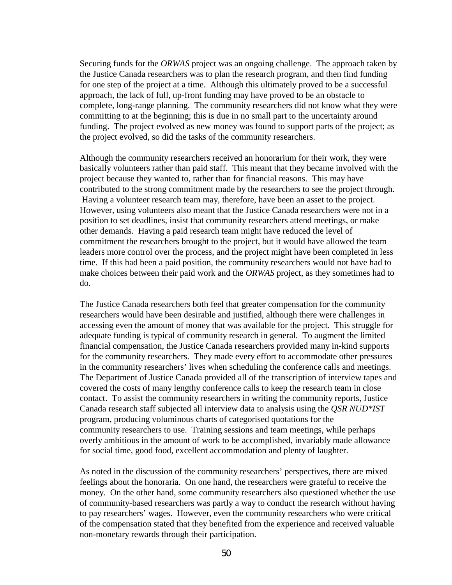Securing funds for the *ORWAS* project was an ongoing challenge. The approach taken by the Justice Canada researchers was to plan the research program, and then find funding for one step of the project at a time. Although this ultimately proved to be a successful approach, the lack of full, up-front funding may have proved to be an obstacle to complete, long-range planning. The community researchers did not know what they were committing to at the beginning; this is due in no small part to the uncertainty around funding. The project evolved as new money was found to support parts of the project; as the project evolved, so did the tasks of the community researchers.

Although the community researchers received an honorarium for their work, they were basically volunteers rather than paid staff. This meant that they became involved with the project because they wanted to, rather than for financial reasons. This may have contributed to the strong commitment made by the researchers to see the project through. Having a volunteer research team may, therefore, have been an asset to the project. However, using volunteers also meant that the Justice Canada researchers were not in a position to set deadlines, insist that community researchers attend meetings, or make other demands. Having a paid research team might have reduced the level of commitment the researchers brought to the project, but it would have allowed the team leaders more control over the process, and the project might have been completed in less time. If this had been a paid position, the community researchers would not have had to make choices between their paid work and the *ORWAS* project, as they sometimes had to do.

The Justice Canada researchers both feel that greater compensation for the community researchers would have been desirable and justified, although there were challenges in accessing even the amount of money that was available for the project. This struggle for adequate funding is typical of community research in general. To augment the limited financial compensation, the Justice Canada researchers provided many in-kind supports for the community researchers. They made every effort to accommodate other pressures in the community researchers' lives when scheduling the conference calls and meetings. The Department of Justice Canada provided all of the transcription of interview tapes and covered the costs of many lengthy conference calls to keep the research team in close contact. To assist the community researchers in writing the community reports, Justice Canada research staff subjected all interview data to analysis using the *QSR NUD\*IST* program, producing voluminous charts of categorised quotations for the community researchers to use. Training sessions and team meetings, while perhaps overly ambitious in the amount of work to be accomplished, invariably made allowance for social time, good food, excellent accommodation and plenty of laughter.

As noted in the discussion of the community researchers' perspectives, there are mixed feelings about the honoraria. On one hand, the researchers were grateful to receive the money. On the other hand, some community researchers also questioned whether the use of community-based researchers was partly a way to conduct the research without having to pay researchers' wages. However, even the community researchers who were critical of the compensation stated that they benefited from the experience and received valuable non-monetary rewards through their participation.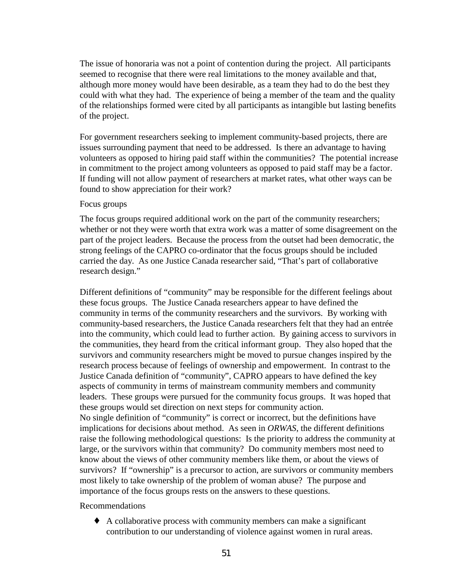The issue of honoraria was not a point of contention during the project. All participants seemed to recognise that there were real limitations to the money available and that, although more money would have been desirable, as a team they had to do the best they could with what they had. The experience of being a member of the team and the quality of the relationships formed were cited by all participants as intangible but lasting benefits of the project.

For government researchers seeking to implement community-based projects, there are issues surrounding payment that need to be addressed. Is there an advantage to having volunteers as opposed to hiring paid staff within the communities? The potential increase in commitment to the project among volunteers as opposed to paid staff may be a factor. If funding will not allow payment of researchers at market rates, what other ways can be found to show appreciation for their work?

#### Focus groups

The focus groups required additional work on the part of the community researchers; whether or not they were worth that extra work was a matter of some disagreement on the part of the project leaders. Because the process from the outset had been democratic, the strong feelings of the CAPRO co-ordinator that the focus groups should be included carried the day. As one Justice Canada researcher said, "That's part of collaborative research design."

Different definitions of "community" may be responsible for the different feelings about these focus groups. The Justice Canada researchers appear to have defined the community in terms of the community researchers and the survivors. By working with community-based researchers, the Justice Canada researchers felt that they had an entrée into the community, which could lead to further action. By gaining access to survivors in the communities, they heard from the critical informant group. They also hoped that the survivors and community researchers might be moved to pursue changes inspired by the research process because of feelings of ownership and empowerment. In contrast to the Justice Canada definition of "community", CAPRO appears to have defined the key aspects of community in terms of mainstream community members and community leaders. These groups were pursued for the community focus groups. It was hoped that these groups would set direction on next steps for community action. No single definition of "community" is correct or incorrect, but the definitions have implications for decisions about method. As seen in *ORWAS*, the different definitions raise the following methodological questions: Is the priority to address the community at large, or the survivors within that community? Do community members most need to know about the views of other community members like them, or about the views of survivors? If "ownership" is a precursor to action, are survivors or community members most likely to take ownership of the problem of woman abuse? The purpose and importance of the focus groups rests on the answers to these questions.

Recommendations

♦ A collaborative process with community members can make a significant contribution to our understanding of violence against women in rural areas.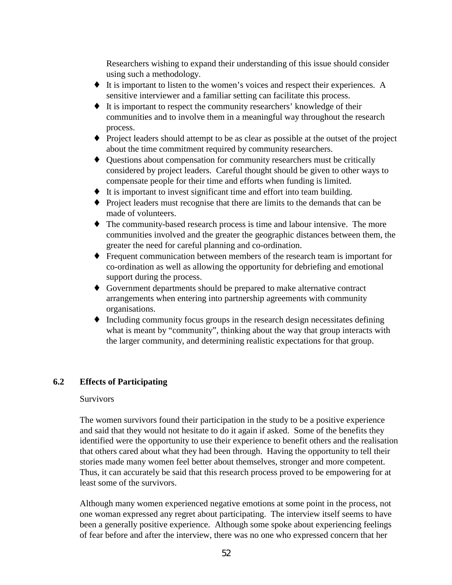<span id="page-55-0"></span>Researchers wishing to expand their understanding of this issue should consider using such a methodology.

- ♦ It is important to listen to the women's voices and respect their experiences. A sensitive interviewer and a familiar setting can facilitate this process.
- ♦ It is important to respect the community researchers' knowledge of their communities and to involve them in a meaningful way throughout the research process.
- ♦ Project leaders should attempt to be as clear as possible at the outset of the project about the time commitment required by community researchers.
- ♦ Questions about compensation for community researchers must be critically considered by project leaders. Careful thought should be given to other ways to compensate people for their time and efforts when funding is limited.
- ♦ It is important to invest significant time and effort into team building.
- ♦ Project leaders must recognise that there are limits to the demands that can be made of volunteers.
- ♦ The community-based research process is time and labour intensive. The more communities involved and the greater the geographic distances between them, the greater the need for careful planning and co-ordination.
- ♦ Frequent communication between members of the research team is important for co-ordination as well as allowing the opportunity for debriefing and emotional support during the process.
- ♦ Government departments should be prepared to make alternative contract arrangements when entering into partnership agreements with community organisations.
- ♦ Including community focus groups in the research design necessitates defining what is meant by "community", thinking about the way that group interacts with the larger community, and determining realistic expectations for that group.

## **6.2 Effects of Participating**

#### **Survivors**

The women survivors found their participation in the study to be a positive experience and said that they would not hesitate to do it again if asked. Some of the benefits they identified were the opportunity to use their experience to benefit others and the realisation that others cared about what they had been through. Having the opportunity to tell their stories made many women feel better about themselves, stronger and more competent. Thus, it can accurately be said that this research process proved to be empowering for at least some of the survivors.

Although many women experienced negative emotions at some point in the process, not one woman expressed any regret about participating. The interview itself seems to have been a generally positive experience. Although some spoke about experiencing feelings of fear before and after the interview, there was no one who expressed concern that her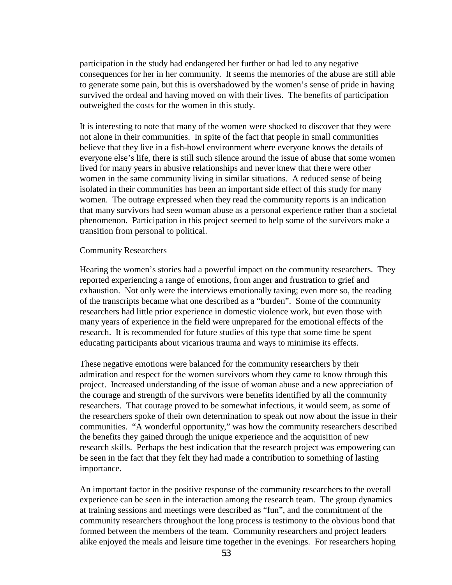participation in the study had endangered her further or had led to any negative consequences for her in her community. It seems the memories of the abuse are still able to generate some pain, but this is overshadowed by the women's sense of pride in having survived the ordeal and having moved on with their lives. The benefits of participation outweighed the costs for the women in this study.

It is interesting to note that many of the women were shocked to discover that they were not alone in their communities. In spite of the fact that people in small communities believe that they live in a fish-bowl environment where everyone knows the details of everyone else's life, there is still such silence around the issue of abuse that some women lived for many years in abusive relationships and never knew that there were other women in the same community living in similar situations. A reduced sense of being isolated in their communities has been an important side effect of this study for many women. The outrage expressed when they read the community reports is an indication that many survivors had seen woman abuse as a personal experience rather than a societal phenomenon. Participation in this project seemed to help some of the survivors make a transition from personal to political.

#### Community Researchers

Hearing the women's stories had a powerful impact on the community researchers. They reported experiencing a range of emotions, from anger and frustration to grief and exhaustion. Not only were the interviews emotionally taxing; even more so, the reading of the transcripts became what one described as a "burden". Some of the community researchers had little prior experience in domestic violence work, but even those with many years of experience in the field were unprepared for the emotional effects of the research. It is recommended for future studies of this type that some time be spent educating participants about vicarious trauma and ways to minimise its effects.

These negative emotions were balanced for the community researchers by their admiration and respect for the women survivors whom they came to know through this project. Increased understanding of the issue of woman abuse and a new appreciation of the courage and strength of the survivors were benefits identified by all the community researchers. That courage proved to be somewhat infectious, it would seem, as some of the researchers spoke of their own determination to speak out now about the issue in their communities. "A wonderful opportunity," was how the community researchers described the benefits they gained through the unique experience and the acquisition of new research skills. Perhaps the best indication that the research project was empowering can be seen in the fact that they felt they had made a contribution to something of lasting importance.

An important factor in the positive response of the community researchers to the overall experience can be seen in the interaction among the research team. The group dynamics at training sessions and meetings were described as "fun", and the commitment of the community researchers throughout the long process is testimony to the obvious bond that formed between the members of the team. Community researchers and project leaders alike enjoyed the meals and leisure time together in the evenings. For researchers hoping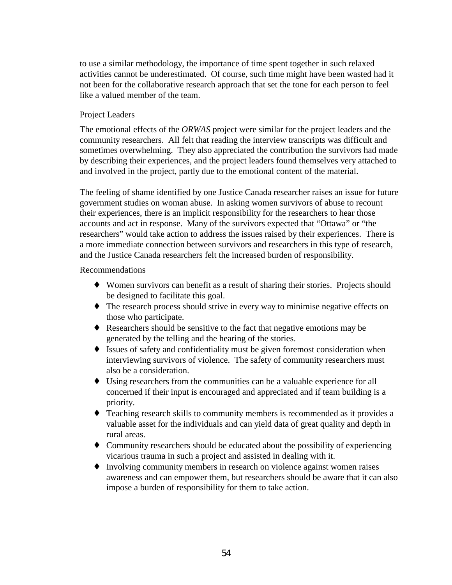to use a similar methodology, the importance of time spent together in such relaxed activities cannot be underestimated. Of course, such time might have been wasted had it not been for the collaborative research approach that set the tone for each person to feel like a valued member of the team.

## Project Leaders

The emotional effects of the *ORWAS* project were similar for the project leaders and the community researchers. All felt that reading the interview transcripts was difficult and sometimes overwhelming. They also appreciated the contribution the survivors had made by describing their experiences, and the project leaders found themselves very attached to and involved in the project, partly due to the emotional content of the material.

The feeling of shame identified by one Justice Canada researcher raises an issue for future government studies on woman abuse. In asking women survivors of abuse to recount their experiences, there is an implicit responsibility for the researchers to hear those accounts and act in response. Many of the survivors expected that "Ottawa" or "the researchers" would take action to address the issues raised by their experiences. There is a more immediate connection between survivors and researchers in this type of research, and the Justice Canada researchers felt the increased burden of responsibility.

Recommendations

- ♦ Women survivors can benefit as a result of sharing their stories. Projects should be designed to facilitate this goal.
- ♦ The research process should strive in every way to minimise negative effects on those who participate.
- ♦ Researchers should be sensitive to the fact that negative emotions may be generated by the telling and the hearing of the stories.
- ♦ Issues of safety and confidentiality must be given foremost consideration when interviewing survivors of violence. The safety of community researchers must also be a consideration.
- ♦ Using researchers from the communities can be a valuable experience for all concerned if their input is encouraged and appreciated and if team building is a priority.
- ♦ Teaching research skills to community members is recommended as it provides a valuable asset for the individuals and can yield data of great quality and depth in rural areas.
- ♦ Community researchers should be educated about the possibility of experiencing vicarious trauma in such a project and assisted in dealing with it.
- ♦ Involving community members in research on violence against women raises awareness and can empower them, but researchers should be aware that it can also impose a burden of responsibility for them to take action.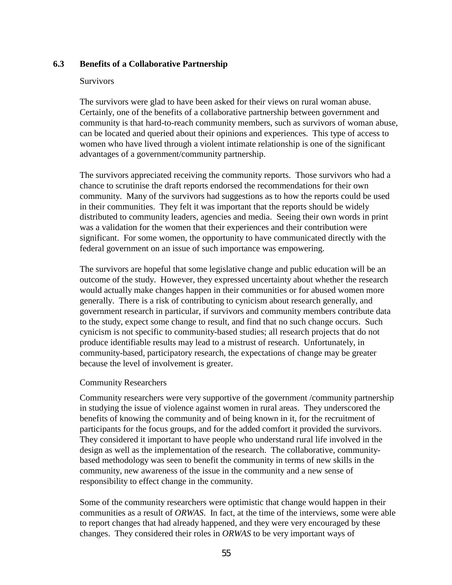## <span id="page-58-0"></span>**6.3 Benefits of a Collaborative Partnership**

#### Survivors

The survivors were glad to have been asked for their views on rural woman abuse. Certainly, one of the benefits of a collaborative partnership between government and community is that hard-to-reach community members, such as survivors of woman abuse, can be located and queried about their opinions and experiences. This type of access to women who have lived through a violent intimate relationship is one of the significant advantages of a government/community partnership.

The survivors appreciated receiving the community reports. Those survivors who had a chance to scrutinise the draft reports endorsed the recommendations for their own community. Many of the survivors had suggestions as to how the reports could be used in their communities. They felt it was important that the reports should be widely distributed to community leaders, agencies and media. Seeing their own words in print was a validation for the women that their experiences and their contribution were significant. For some women, the opportunity to have communicated directly with the federal government on an issue of such importance was empowering.

The survivors are hopeful that some legislative change and public education will be an outcome of the study. However, they expressed uncertainty about whether the research would actually make changes happen in their communities or for abused women more generally. There is a risk of contributing to cynicism about research generally, and government research in particular, if survivors and community members contribute data to the study, expect some change to result, and find that no such change occurs. Such cynicism is not specific to community-based studies; all research projects that do not produce identifiable results may lead to a mistrust of research. Unfortunately, in community-based, participatory research, the expectations of change may be greater because the level of involvement is greater.

### Community Researchers

Community researchers were very supportive of the government /community partnership in studying the issue of violence against women in rural areas. They underscored the benefits of knowing the community and of being known in it, for the recruitment of participants for the focus groups, and for the added comfort it provided the survivors. They considered it important to have people who understand rural life involved in the design as well as the implementation of the research. The collaborative, communitybased methodology was seen to benefit the community in terms of new skills in the community, new awareness of the issue in the community and a new sense of responsibility to effect change in the community.

Some of the community researchers were optimistic that change would happen in their communities as a result of *ORWAS*. In fact, at the time of the interviews, some were able to report changes that had already happened, and they were very encouraged by these changes. They considered their roles in *ORWAS* to be very important ways of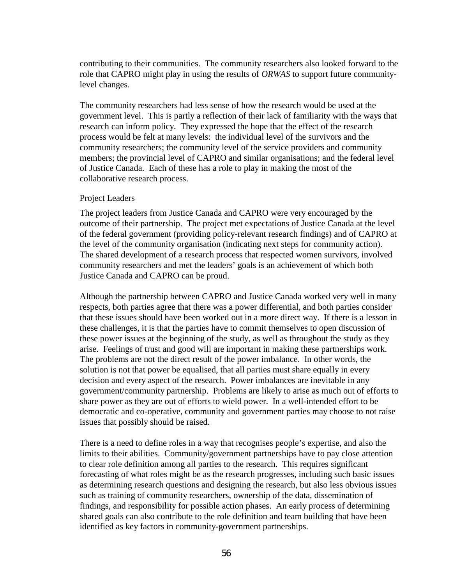contributing to their communities. The community researchers also looked forward to the role that CAPRO might play in using the results of *ORWAS* to support future communitylevel changes.

The community researchers had less sense of how the research would be used at the government level. This is partly a reflection of their lack of familiarity with the ways that research can inform policy. They expressed the hope that the effect of the research process would be felt at many levels: the individual level of the survivors and the community researchers; the community level of the service providers and community members; the provincial level of CAPRO and similar organisations; and the federal level of Justice Canada. Each of these has a role to play in making the most of the collaborative research process.

### Project Leaders

The project leaders from Justice Canada and CAPRO were very encouraged by the outcome of their partnership. The project met expectations of Justice Canada at the level of the federal government (providing policy-relevant research findings) and of CAPRO at the level of the community organisation (indicating next steps for community action). The shared development of a research process that respected women survivors, involved community researchers and met the leaders' goals is an achievement of which both Justice Canada and CAPRO can be proud.

Although the partnership between CAPRO and Justice Canada worked very well in many respects, both parties agree that there was a power differential, and both parties consider that these issues should have been worked out in a more direct way. If there is a lesson in these challenges, it is that the parties have to commit themselves to open discussion of these power issues at the beginning of the study, as well as throughout the study as they arise. Feelings of trust and good will are important in making these partnerships work. The problems are not the direct result of the power imbalance. In other words, the solution is not that power be equalised, that all parties must share equally in every decision and every aspect of the research. Power imbalances are inevitable in any government/community partnership. Problems are likely to arise as much out of efforts to share power as they are out of efforts to wield power. In a well-intended effort to be democratic and co-operative, community and government parties may choose to not raise issues that possibly should be raised.

There is a need to define roles in a way that recognises people's expertise, and also the limits to their abilities. Community/government partnerships have to pay close attention to clear role definition among all parties to the research. This requires significant forecasting of what roles might be as the research progresses, including such basic issues as determining research questions and designing the research, but also less obvious issues such as training of community researchers, ownership of the data, dissemination of findings, and responsibility for possible action phases. An early process of determining shared goals can also contribute to the role definition and team building that have been identified as key factors in community-government partnerships.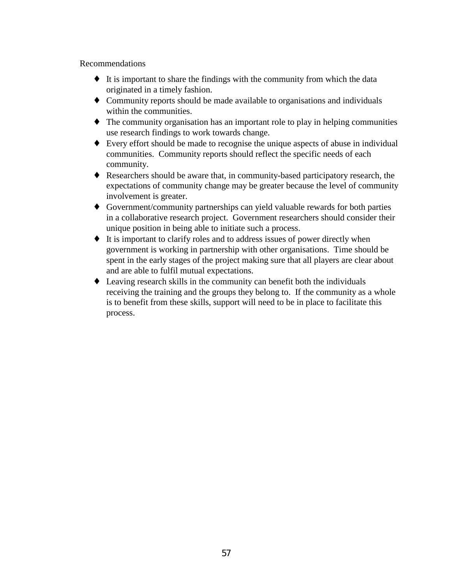### Recommendations

- ♦ It is important to share the findings with the community from which the data originated in a timely fashion.
- ♦ Community reports should be made available to organisations and individuals within the communities.
- ♦ The community organisation has an important role to play in helping communities use research findings to work towards change.
- ♦ Every effort should be made to recognise the unique aspects of abuse in individual communities. Community reports should reflect the specific needs of each community.
- ♦ Researchers should be aware that, in community-based participatory research, the expectations of community change may be greater because the level of community involvement is greater.
- ♦ Government/community partnerships can yield valuable rewards for both parties in a collaborative research project. Government researchers should consider their unique position in being able to initiate such a process.
- ♦ It is important to clarify roles and to address issues of power directly when government is working in partnership with other organisations. Time should be spent in the early stages of the project making sure that all players are clear about and are able to fulfil mutual expectations.
- ♦ Leaving research skills in the community can benefit both the individuals receiving the training and the groups they belong to. If the community as a whole is to benefit from these skills, support will need to be in place to facilitate this process.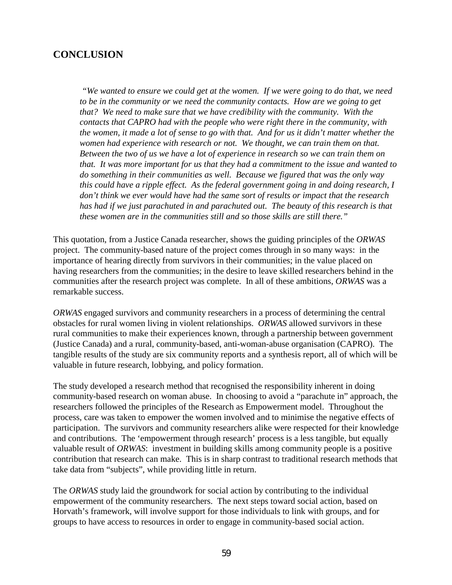## <span id="page-61-0"></span>**CONCLUSION**

 *"We wanted to ensure we could get at the women. If we were going to do that, we need to be in the community or we need the community contacts. How are we going to get that? We need to make sure that we have credibility with the community. With the contacts that CAPRO had with the people who were right there in the community, with the women, it made a lot of sense to go with that. And for us it didn't matter whether the women had experience with research or not. We thought, we can train them on that. Between the two of us we have a lot of experience in research so we can train them on that. It was more important for us that they had a commitment to the issue and wanted to do something in their communities as well. Because we figured that was the only way this could have a ripple effect. As the federal government going in and doing research, I don't think we ever would have had the same sort of results or impact that the research has had if we just parachuted in and parachuted out. The beauty of this research is that these women are in the communities still and so those skills are still there."*

This quotation, from a Justice Canada researcher, shows the guiding principles of the *ORWAS* project. The community-based nature of the project comes through in so many ways: in the importance of hearing directly from survivors in their communities; in the value placed on having researchers from the communities; in the desire to leave skilled researchers behind in the communities after the research project was complete. In all of these ambitions, *ORWAS* was a remarkable success.

*ORWAS* engaged survivors and community researchers in a process of determining the central obstacles for rural women living in violent relationships. *ORWAS* allowed survivors in these rural communities to make their experiences known, through a partnership between government (Justice Canada) and a rural, community-based, anti-woman-abuse organisation (CAPRO). The tangible results of the study are six community reports and a synthesis report, all of which will be valuable in future research, lobbying, and policy formation.

The study developed a research method that recognised the responsibility inherent in doing community-based research on woman abuse. In choosing to avoid a "parachute in" approach, the researchers followed the principles of the Research as Empowerment model. Throughout the process, care was taken to empower the women involved and to minimise the negative effects of participation. The survivors and community researchers alike were respected for their knowledge and contributions. The 'empowerment through research' process is a less tangible, but equally valuable result of *ORWAS*: investment in building skills among community people is a positive contribution that research can make. This is in sharp contrast to traditional research methods that take data from "subjects", while providing little in return.

The *ORWAS* study laid the groundwork for social action by contributing to the individual empowerment of the community researchers. The next steps toward social action, based on Horvath's framework, will involve support for those individuals to link with groups, and for groups to have access to resources in order to engage in community-based social action.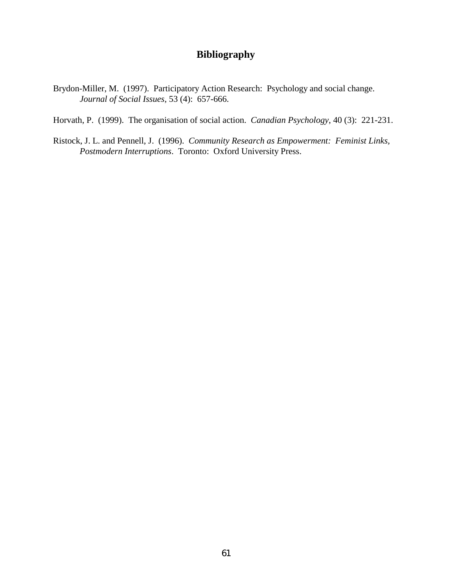## **Bibliography**

- <span id="page-62-0"></span>Brydon-Miller, M. (1997). Participatory Action Research: Psychology and social change. *Journal of Social Issues*, 53 (4): 657-666.
- Horvath, P. (1999). The organisation of social action. *Canadian Psychology*, 40 (3): 221-231.
- Ristock, J. L. and Pennell, J. (1996). *Community Research as Empowerment: Feminist Links, Postmodern Interruptions*. Toronto: Oxford University Press.